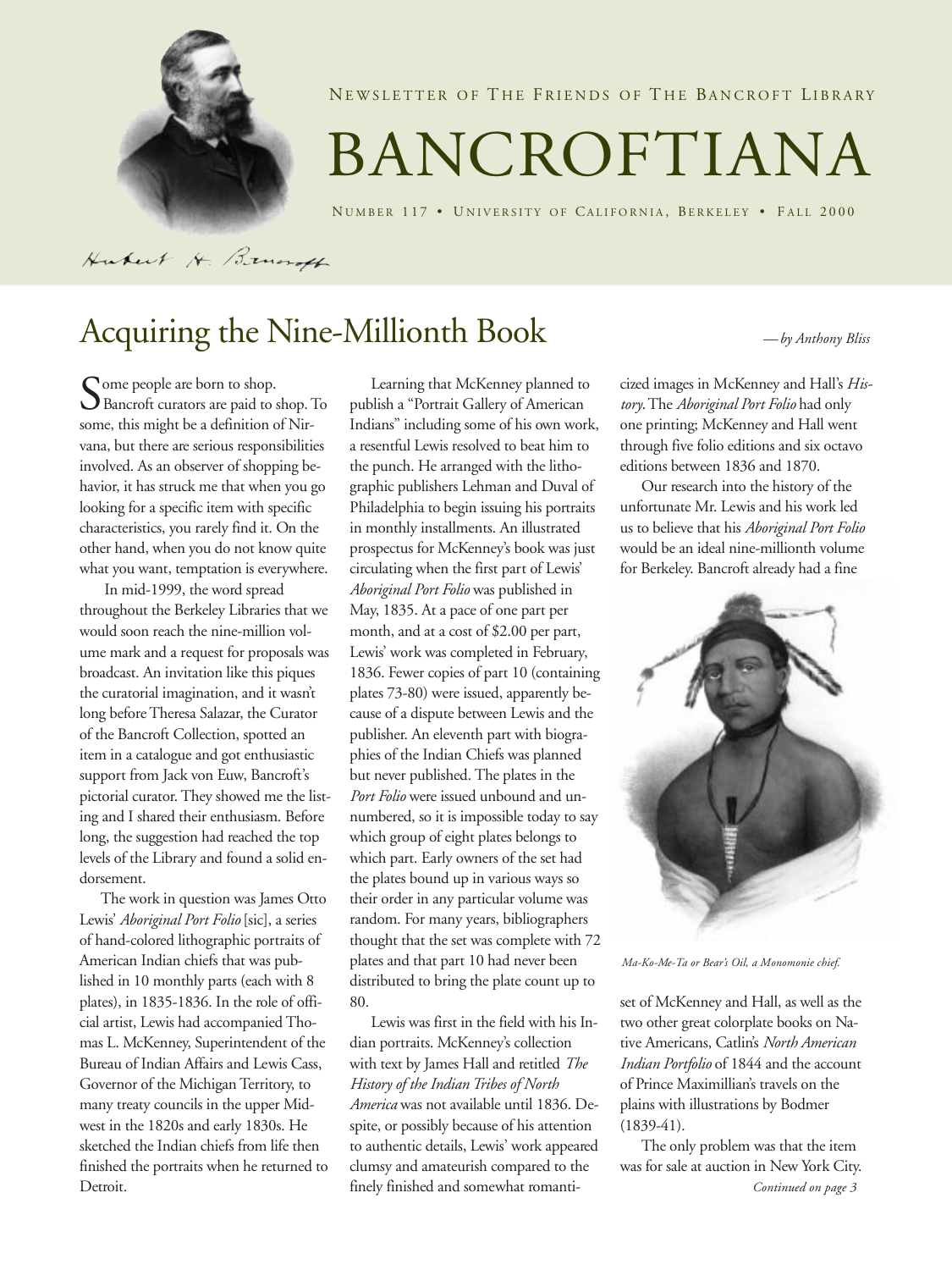

NEWSLETTER OF THE FRIENDS OF THE BANCROFT LIBRARY

# BANCROFTIANA

NUMBER 117 • UNIVERSITY OF CALIFORNIA, BERKELEY • FALL 2000

Hubert H. Brundt

# Acquiring the Nine-Millionth Book *— by Anthony Bliss*

Some people are born to shop.<br>Bancroft curators are paid to some, this might be a definition of Bancroft curators are paid to shop. To some, this might be a definition of Nirvana, but there are serious responsibilities involved. As an observer of shopping behavior, it has struck me that when you go looking for a specific item with specific characteristics, you rarely find it. On the other hand, when you do not know quite what you want, temptation is everywhere.

 In mid-1999, the word spread throughout the Berkeley Libraries that we would soon reach the nine-million volume mark and a request for proposals was broadcast. An invitation like this piques the curatorial imagination, and it wasn't long before Theresa Salazar, the Curator of the Bancroft Collection, spotted an item in a catalogue and got enthusiastic support from Jack von Euw, Bancroft's pictorial curator. They showed me the listing and I shared their enthusiasm. Before long, the suggestion had reached the top levels of the Library and found a solid endorsement.

The work in question was James Otto Lewis' *Aboriginal Port Folio* [sic], a series of hand-colored lithographic portraits of American Indian chiefs that was published in 10 monthly parts (each with 8 plates), in 1835-1836. In the role of official artist, Lewis had accompanied Thomas L. McKenney, Superintendent of the Bureau of Indian Affairs and Lewis Cass, Governor of the Michigan Territory, to many treaty councils in the upper Midwest in the 1820s and early 1830s. He sketched the Indian chiefs from life then finished the portraits when he returned to Detroit.

Learning that McKenney planned to publish a "Portrait Gallery of American Indians" including some of his own work, a resentful Lewis resolved to beat him to the punch. He arranged with the lithographic publishers Lehman and Duval of Philadelphia to begin issuing his portraits in monthly installments. An illustrated prospectus for McKenney's book was just circulating when the first part of Lewis' *Aboriginal Port Folio* was published in May, 1835. At a pace of one part per month, and at a cost of \$2.00 per part, Lewis' work was completed in February, 1836. Fewer copies of part 10 (containing plates 73-80) were issued, apparently because of a dispute between Lewis and the publisher. An eleventh part with biographies of the Indian Chiefs was planned but never published. The plates in the *Port Folio* were issued unbound and unnumbered, so it is impossible today to say which group of eight plates belongs to which part. Early owners of the set had the plates bound up in various ways so their order in any particular volume was random. For many years, bibliographers thought that the set was complete with 72 plates and that part 10 had never been distributed to bring the plate count up to 80.

Lewis was first in the field with his Indian portraits. McKenney's collection with text by James Hall and retitled *The History of the Indian Tribes of North America* was not available until 1836. Despite, or possibly because of his attention to authentic details, Lewis' work appeared clumsy and amateurish compared to the finely finished and somewhat romanti-

cized images in McKenney and Hall's *History*. The *Aboriginal Port Folio* had only one printing; McKenney and Hall went through five folio editions and six octavo editions between 1836 and 1870.

Our research into the history of the unfortunate Mr. Lewis and his work led us to believe that his *Aboriginal Port Folio* would be an ideal nine-millionth volume for Berkeley. Bancroft already had a fine



*Ma-Ko-Me-Ta or Bear's Oil, a Monomonie chief.*

set of McKenney and Hall, as well as the two other great colorplate books on Native Americans, Catlin's *North American Indian Portfolio* of 1844 and the account of Prince Maximillian's travels on the plains with illustrations by Bodmer (1839-41).

The only problem was that the item was for sale at auction in New York City. *Continued on page 3*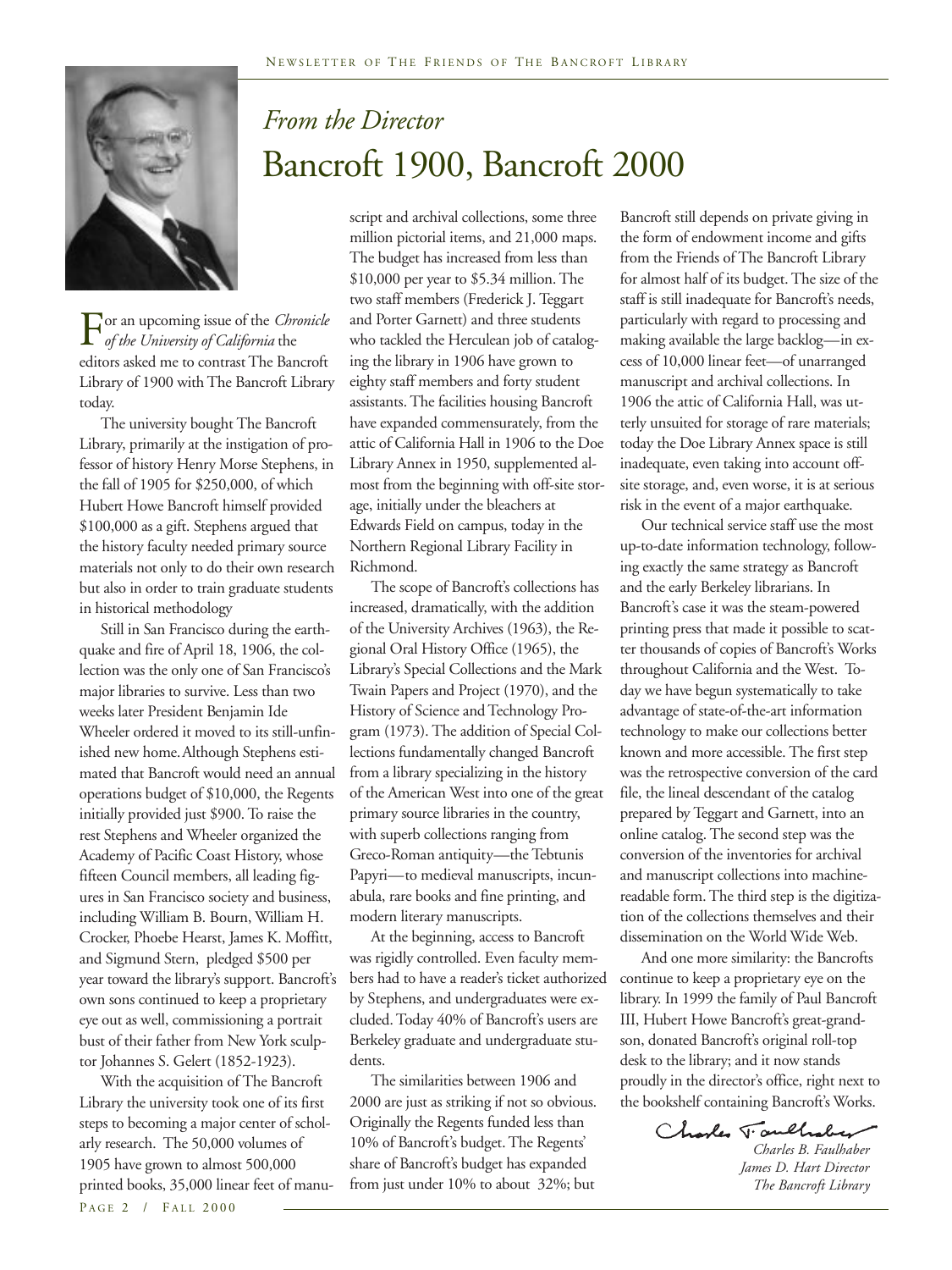

# *From the Director* Bancroft 1900, Bancroft 2000

For an upcoming issue of the *Chronicle*<br>of the University of California the<br>editors asked me to contrast The Bancroft  *of the University of California* the editors asked me to contrast The Bancroft Library of 1900 with The Bancroft Library today.

The university bought The Bancroft Library, primarily at the instigation of professor of history Henry Morse Stephens, in the fall of 1905 for \$250,000, of which Hubert Howe Bancroft himself provided \$100,000 as a gift. Stephens argued that the history faculty needed primary source materials not only to do their own research but also in order to train graduate students in historical methodology

Still in San Francisco during the earthquake and fire of April 18, 1906, the collection was the only one of San Francisco's major libraries to survive. Less than two weeks later President Benjamin Ide Wheeler ordered it moved to its still-unfinished new home.Although Stephens estimated that Bancroft would need an annual operations budget of \$10,000, the Regents initially provided just \$900. To raise the rest Stephens and Wheeler organized the Academy of Pacific Coast History, whose fifteen Council members, all leading figures in San Francisco society and business, including William B. Bourn, William H. Crocker, Phoebe Hearst, James K. Moffitt, and Sigmund Stern, pledged \$500 per year toward the library's support. Bancroft's own sons continued to keep a proprietary eye out as well, commissioning a portrait bust of their father from New York sculptor Johannes S. Gelert (1852-1923).

With the acquisition of The Bancroft Library the university took one of its first steps to becoming a major center of scholarly research. The 50,000 volumes of 1905 have grown to almost 500,000 printed books, 35,000 linear feet of manuscript and archival collections, some three million pictorial items, and 21,000 maps. The budget has increased from less than \$10,000 per year to \$5.34 million. The two staff members (Frederick J. Teggart and Porter Garnett) and three students who tackled the Herculean job of cataloging the library in 1906 have grown to eighty staff members and forty student assistants. The facilities housing Bancroft have expanded commensurately, from the attic of California Hall in 1906 to the Doe Library Annex in 1950, supplemented almost from the beginning with off-site storage, initially under the bleachers at Edwards Field on campus, today in the Northern Regional Library Facility in Richmond.

The scope of Bancroft's collections has increased, dramatically, with the addition of the University Archives (1963), the Regional Oral History Office (1965), the Library's Special Collections and the Mark Twain Papers and Project (1970), and the History of Science and Technology Program (1973). The addition of Special Collections fundamentally changed Bancroft from a library specializing in the history of the American West into one of the great primary source libraries in the country, with superb collections ranging from Greco-Roman antiquity—the Tebtunis Papyri—to medieval manuscripts, incunabula, rare books and fine printing, and modern literary manuscripts.

At the beginning, access to Bancroft was rigidly controlled. Even faculty members had to have a reader's ticket authorized by Stephens, and undergraduates were excluded. Today 40% of Bancroft's users are Berkeley graduate and undergraduate students.

The similarities between 1906 and 2000 are just as striking if not so obvious. Originally the Regents funded less than 10% of Bancroft's budget. The Regents' share of Bancroft's budget has expanded from just under 10% to about 32%; but

Bancroft still depends on private giving in the form of endowment income and gifts from the Friends of The Bancroft Library for almost half of its budget. The size of the staff is still inadequate for Bancroft's needs, particularly with regard to processing and making available the large backlog—in excess of 10,000 linear feet—of unarranged manuscript and archival collections. In 1906 the attic of California Hall, was utterly unsuited for storage of rare materials; today the Doe Library Annex space is still inadequate, even taking into account offsite storage, and, even worse, it is at serious risk in the event of a major earthquake.

Our technical service staff use the most up-to-date information technology, following exactly the same strategy as Bancroft and the early Berkeley librarians. In Bancroft's case it was the steam-powered printing press that made it possible to scatter thousands of copies of Bancroft's Works throughout California and the West. Today we have begun systematically to take advantage of state-of-the-art information technology to make our collections better known and more accessible. The first step was the retrospective conversion of the card file, the lineal descendant of the catalog prepared by Teggart and Garnett, into an online catalog. The second step was the conversion of the inventories for archival and manuscript collections into machinereadable form. The third step is the digitization of the collections themselves and their dissemination on the World Wide Web.

And one more similarity: the Bancrofts continue to keep a proprietary eye on the library. In 1999 the family of Paul Bancroft III, Hubert Howe Bancroft's great-grandson, donated Bancroft's original roll-top desk to the library; and it now stands proudly in the director's office, right next to the bookshelf containing Bancroft's Works.

Charles T. auchaber

*Charles B. Faulhaber James D. Hart Director The Bancroft Library*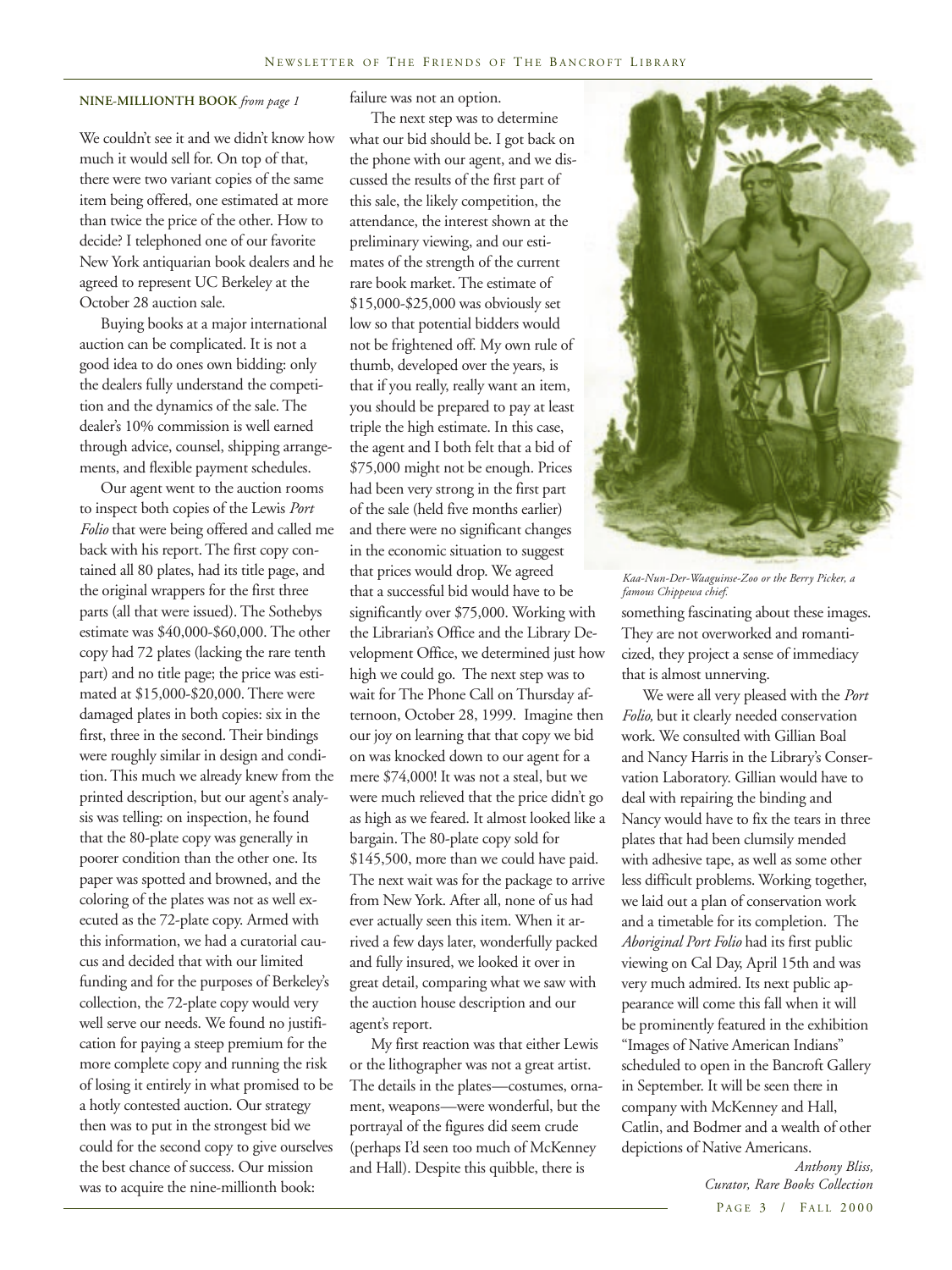### **NINE-MILLIONTH BOOK** *from page 1*

We couldn't see it and we didn't know how much it would sell for. On top of that, there were two variant copies of the same item being offered, one estimated at more than twice the price of the other. How to decide? I telephoned one of our favorite New York antiquarian book dealers and he agreed to represent UC Berkeley at the October 28 auction sale.

Buying books at a major international auction can be complicated. It is not a good idea to do ones own bidding: only the dealers fully understand the competition and the dynamics of the sale. The dealer's 10% commission is well earned through advice, counsel, shipping arrangements, and flexible payment schedules.

Our agent went to the auction rooms to inspect both copies of the Lewis *Port Folio* that were being offered and called me back with his report. The first copy contained all 80 plates, had its title page, and the original wrappers for the first three parts (all that were issued). The Sothebys estimate was \$40,000-\$60,000. The other copy had 72 plates (lacking the rare tenth part) and no title page; the price was estimated at \$15,000-\$20,000. There were damaged plates in both copies: six in the first, three in the second. Their bindings were roughly similar in design and condition. This much we already knew from the printed description, but our agent's analysis was telling: on inspection, he found that the 80-plate copy was generally in poorer condition than the other one. Its paper was spotted and browned, and the coloring of the plates was not as well executed as the 72-plate copy. Armed with this information, we had a curatorial caucus and decided that with our limited funding and for the purposes of Berkeley's collection, the 72-plate copy would very well serve our needs. We found no justification for paying a steep premium for the more complete copy and running the risk of losing it entirely in what promised to be a hotly contested auction. Our strategy then was to put in the strongest bid we could for the second copy to give ourselves the best chance of success. Our mission was to acquire the nine-millionth book:

failure was not an option.

The next step was to determine what our bid should be. I got back on the phone with our agent, and we discussed the results of the first part of this sale, the likely competition, the attendance, the interest shown at the preliminary viewing, and our estimates of the strength of the current rare book market. The estimate of \$15,000-\$25,000 was obviously set low so that potential bidders would not be frightened off. My own rule of thumb, developed over the years, is that if you really, really want an item, you should be prepared to pay at least triple the high estimate. In this case, the agent and I both felt that a bid of \$75,000 might not be enough. Prices had been very strong in the first part of the sale (held five months earlier) and there were no significant changes in the economic situation to suggest that prices would drop. We agreed that a successful bid would have to be significantly over \$75,000. Working with the Librarian's Office and the Library Development Office, we determined just how high we could go. The next step was to wait for The Phone Call on Thursday afternoon, October 28, 1999. Imagine then our joy on learning that that copy we bid on was knocked down to our agent for a mere \$74,000! It was not a steal, but we were much relieved that the price didn't go as high as we feared. It almost looked like a bargain. The 80-plate copy sold for \$145,500, more than we could have paid. The next wait was for the package to arrive from New York. After all, none of us had ever actually seen this item. When it arrived a few days later, wonderfully packed and fully insured, we looked it over in great detail, comparing what we saw with the auction house description and our agent's report.

My first reaction was that either Lewis or the lithographer was not a great artist. The details in the plates—costumes, ornament, weapons—were wonderful, but the portrayal of the figures did seem crude (perhaps I'd seen too much of McKenney and Hall). Despite this quibble, there is



*Kaa-Nun-Der-Waaguinse-Zoo or the Berry Picker, a famous Chippewa chief.*

something fascinating about these images. They are not overworked and romanticized, they project a sense of immediacy that is almost unnerving.

We were all very pleased with the *Port Folio,* but it clearly needed conservation work. We consulted with Gillian Boal and Nancy Harris in the Library's Conservation Laboratory. Gillian would have to deal with repairing the binding and Nancy would have to fix the tears in three plates that had been clumsily mended with adhesive tape, as well as some other less difficult problems. Working together, we laid out a plan of conservation work and a timetable for its completion. The *Aboriginal Port Folio* had its first public viewing on Cal Day, April 15th and was very much admired. Its next public appearance will come this fall when it will be prominently featured in the exhibition "Images of Native American Indians" scheduled to open in the Bancroft Gallery in September. It will be seen there in company with McKenney and Hall, Catlin, and Bodmer and a wealth of other depictions of Native Americans.

> PAGE 3 / FALL 2000  *Anthony Bliss, Curator, Rare Books Collection*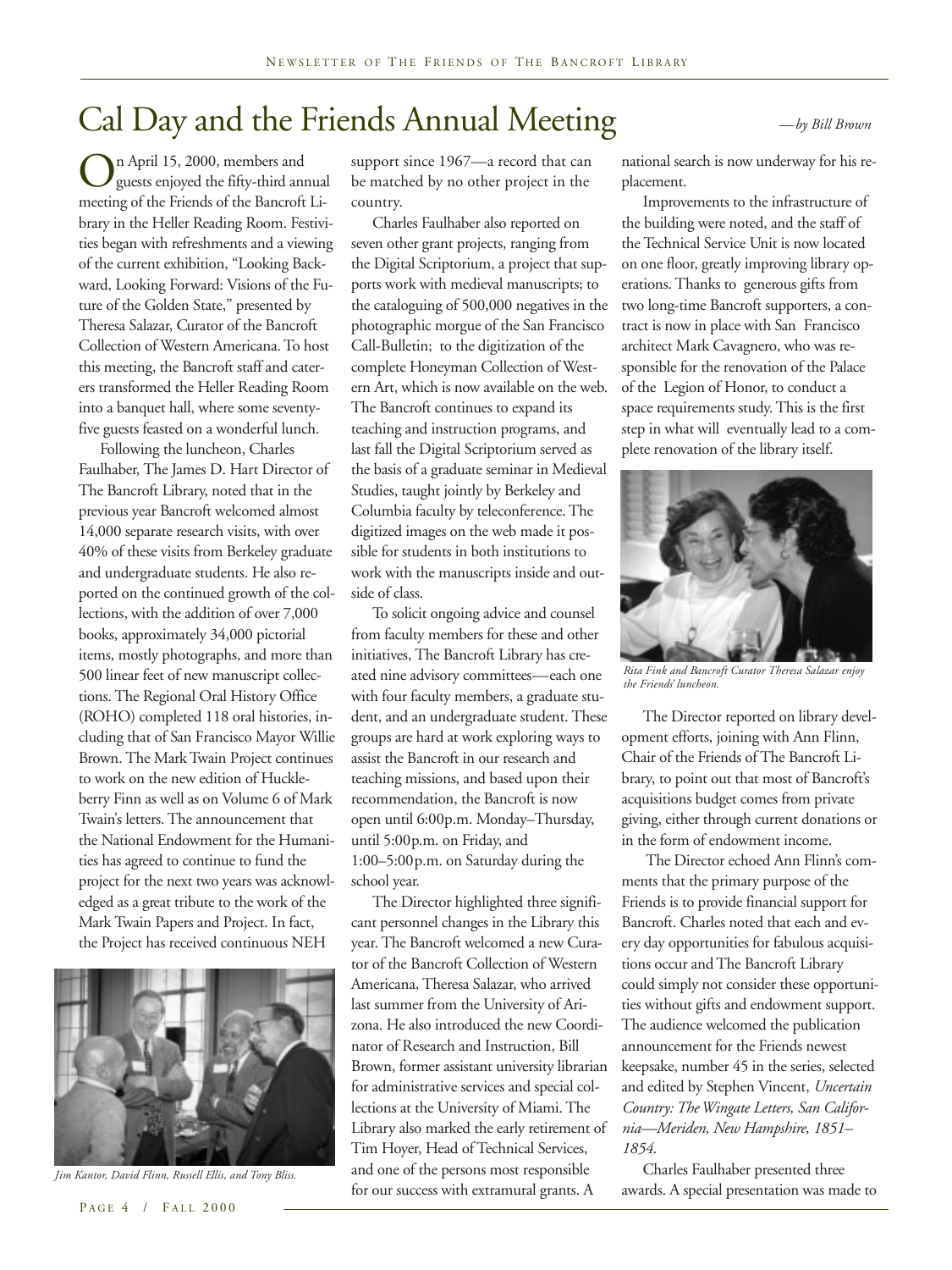# Cal Day and the Friends Annual Meeting *—by Bill Brown*

On April 15, 2000, members and<br>guests enjoyed the fifty-third an<br>meeting of the Friends of the Bancrofi guests enjoyed the fifty-third annual meeting of the Friends of the Bancroft Library in the Heller Reading Room. Festivities began with refreshments and a viewing of the current exhibition, "Looking Backward, Looking Forward: Visions of the Future of the Golden State," presented by Theresa Salazar, Curator of the Bancroft Collection of Western Americana. To host this meeting, the Bancroft staff and caterers transformed the Heller Reading Room into a banquet hall, where some seventyfive guests feasted on a wonderful lunch.

Following the luncheon, Charles Faulhaber, The James D. Hart Director of The Bancroft Library, noted that in the previous year Bancroft welcomed almost 14,000 separate research visits, with over 40% of these visits from Berkeley graduate and undergraduate students. He also reported on the continued growth of the collections, with the addition of over 7,000 books, approximately 34,000 pictorial items, mostly photographs, and more than 500 linear feet of new manuscript collections. The Regional Oral History Office (ROHO) completed 118 oral histories, including that of San Francisco Mayor Willie Brown. The Mark Twain Project continues to work on the new edition of Huckleberry Finn as well as on Volume 6 of Mark Twain's letters. The announcement that the National Endowment for the Humanities has agreed to continue to fund the project for the next two years was acknowledged as a great tribute to the work of the Mark Twain Papers and Project. In fact, the Project has received continuous NEH



*Jim Kantor, David Flinn, Russell Ellis, and Tony Bliss.*

support since 1967—a record that can be matched by no other project in the country.

Charles Faulhaber also reported on seven other grant projects, ranging from the Digital Scriptorium, a project that supports work with medieval manuscripts; to the cataloguing of 500,000 negatives in the photographic morgue of the San Francisco Call-Bulletin; to the digitization of the complete Honeyman Collection of Western Art, which is now available on the web. The Bancroft continues to expand its teaching and instruction programs, and last fall the Digital Scriptorium served as the basis of a graduate seminar in Medieval Studies, taught jointly by Berkeley and Columbia faculty by teleconference. The digitized images on the web made it possible for students in both institutions to work with the manuscripts inside and outside of class.

To solicit ongoing advice and counsel from faculty members for these and other initiatives, The Bancroft Library has created nine advisory committees—each one with four faculty members, a graduate student, and an undergraduate student. These groups are hard at work exploring ways to assist the Bancroft in our research and teaching missions, and based upon their recommendation, the Bancroft is now open until 6:00p.m. Monday–Thursday, until 5:00p.m. on Friday, and 1:00–5:00p.m. on Saturday during the school year.

The Director highlighted three significant personnel changes in the Library this year. The Bancroft welcomed a new Curator of the Bancroft Collection of Western Americana, Theresa Salazar, who arrived last summer from the University of Arizona. He also introduced the new Coordinator of Research and Instruction, Bill Brown, former assistant university librarian for administrative services and special collections at the University of Miami. The Library also marked the early retirement of Tim Hoyer, Head of Technical Services, and one of the persons most responsible for our success with extramural grants. A

national search is now underway for his replacement.

Improvements to the infrastructure of the building were noted, and the staff of the Technical Service Unit is now located on one floor, greatly improving library operations. Thanks to generous gifts from two long-time Bancroft supporters, a contract is now in place with San Francisco architect Mark Cavagnero, who was responsible for the renovation of the Palace of the Legion of Honor, to conduct a space requirements study. This is the first step in what will eventually lead to a complete renovation of the library itself.



*Rita Fink and Bancroft Curator Theresa Salazar enjoy the Friends' luncheon.*

The Director reported on library development efforts, joining with Ann Flinn, Chair of the Friends of The Bancroft Library, to point out that most of Bancroft's acquisitions budget comes from private giving, either through current donations or in the form of endowment income.

 The Director echoed Ann Flinn's comments that the primary purpose of the Friends is to provide financial support for Bancroft. Charles noted that each and every day opportunities for fabulous acquisitions occur and The Bancroft Library could simply not consider these opportunities without gifts and endowment support. The audience welcomed the publication announcement for the Friends newest keepsake, number 45 in the series, selected and edited by Stephen Vincent, *Uncertain Country: The Wingate Letters, San California—Meriden, New Hampshire, 1851– 1854.*

Charles Faulhaber presented three awards. A special presentation was made to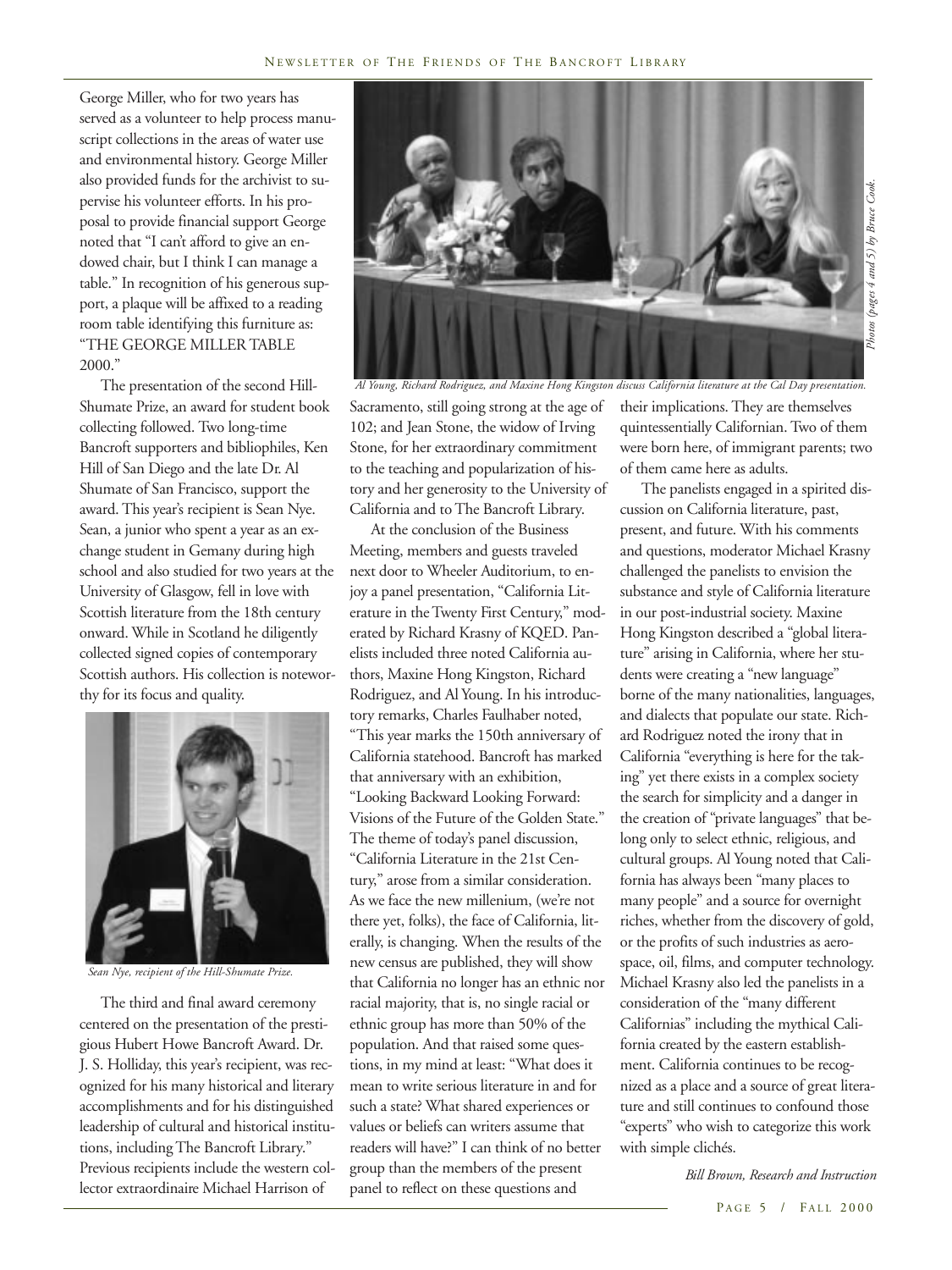George Miller, who for two years has served as a volunteer to help process manuscript collections in the areas of water use and environmental history. George Miller also provided funds for the archivist to supervise his volunteer efforts. In his proposal to provide financial support George noted that "I can't afford to give an endowed chair, but I think I can manage a table." In recognition of his generous support, a plaque will be affixed to a reading room table identifying this furniture as: "THE GEORGE MILLER TABLE 2000."

The presentation of the second Hill-Shumate Prize, an award for student book collecting followed. Two long-time Bancroft supporters and bibliophiles, Ken Hill of San Diego and the late Dr. Al Shumate of San Francisco, support the award. This year's recipient is Sean Nye. Sean, a junior who spent a year as an exchange student in Gemany during high school and also studied for two years at the University of Glasgow, fell in love with Scottish literature from the 18th century onward. While in Scotland he diligently collected signed copies of contemporary Scottish authors. His collection is noteworthy for its focus and quality.



*Sean Nye, recipient of the Hill-Shumate Prize.*

The third and final award ceremony centered on the presentation of the prestigious Hubert Howe Bancroft Award. Dr. J. S. Holliday, this year's recipient, was recognized for his many historical and literary accomplishments and for his distinguished leadership of cultural and historical institutions, including The Bancroft Library." Previous recipients include the western collector extraordinaire Michael Harrison of



*Al Young, Richard Rodriguez, and Maxine Hong Kingston discuss California literature at the Cal Day presentation.*

Sacramento, still going strong at the age of 102; and Jean Stone, the widow of Irving Stone, for her extraordinary commitment to the teaching and popularization of history and her generosity to the University of California and to The Bancroft Library.

At the conclusion of the Business Meeting, members and guests traveled next door to Wheeler Auditorium, to enjoy a panel presentation, "California Literature in the Twenty First Century," moderated by Richard Krasny of KQED. Panelists included three noted California authors, Maxine Hong Kingston, Richard Rodriguez, and Al Young. In his introductory remarks, Charles Faulhaber noted, "This year marks the 150th anniversary of California statehood. Bancroft has marked that anniversary with an exhibition, "Looking Backward Looking Forward: Visions of the Future of the Golden State." The theme of today's panel discussion, "California Literature in the 21st Century," arose from a similar consideration. As we face the new millenium, (we're not there yet, folks), the face of California, literally, is changing. When the results of the new census are published, they will show that California no longer has an ethnic nor racial majority, that is, no single racial or ethnic group has more than 50% of the population. And that raised some questions, in my mind at least: "What does it mean to write serious literature in and for such a state? What shared experiences or values or beliefs can writers assume that readers will have?" I can think of no better group than the members of the present panel to reflect on these questions and

their implications. They are themselves quintessentially Californian. Two of them were born here, of immigrant parents; two of them came here as adults.

The panelists engaged in a spirited discussion on California literature, past, present, and future. With his comments and questions, moderator Michael Krasny challenged the panelists to envision the substance and style of California literature in our post-industrial society. Maxine Hong Kingston described a "global literature" arising in California, where her students were creating a "new language" borne of the many nationalities, languages, and dialects that populate our state. Richard Rodriguez noted the irony that in California "everything is here for the taking" yet there exists in a complex society the search for simplicity and a danger in the creation of "private languages" that belong only to select ethnic, religious, and cultural groups. Al Young noted that California has always been "many places to many people" and a source for overnight riches, whether from the discovery of gold, or the profits of such industries as aerospace, oil, films, and computer technology. Michael Krasny also led the panelists in a consideration of the "many different Californias" including the mythical California created by the eastern establishment. California continues to be recognized as a place and a source of great literature and still continues to confound those "experts" who wish to categorize this work with simple clichés.

 *Bill Brown, Research and Instruction*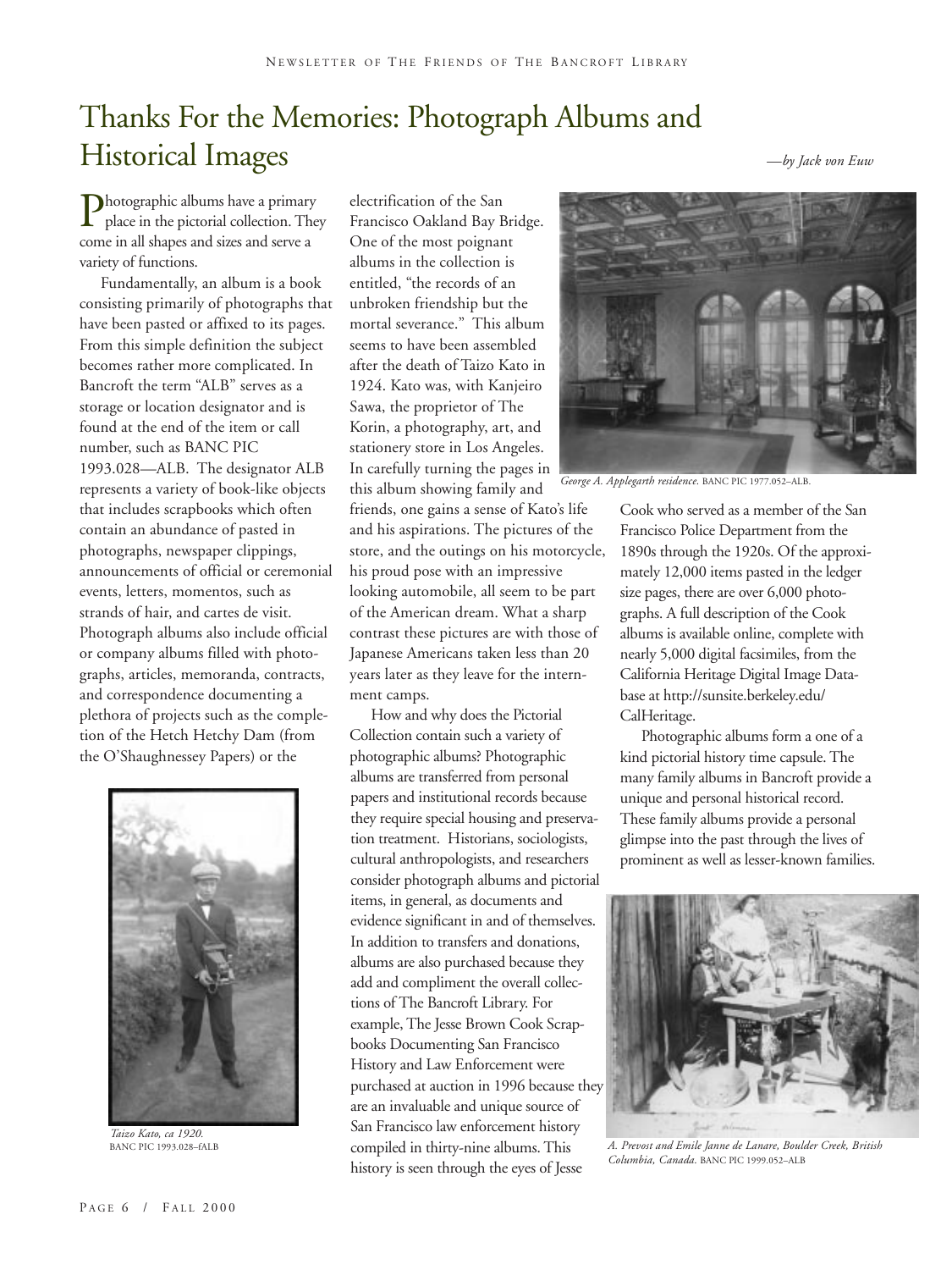# Thanks For the Memories: Photograph Albums and Historical Images

*—by Jack von Euw*

**Photographic albums have a primary<br>place in the pictorial collection.** The<br>come in all shapes and sizes and serve a place in the pictorial collection. They come in all shapes and sizes and serve a variety of functions.

Fundamentally, an album is a book consisting primarily of photographs that have been pasted or affixed to its pages. From this simple definition the subject becomes rather more complicated. In Bancroft the term "ALB" serves as a storage or location designator and is found at the end of the item or call number, such as BANC PIC 1993.028—ALB. The designator ALB represents a variety of book-like objects that includes scrapbooks which often contain an abundance of pasted in photographs, newspaper clippings, announcements of official or ceremonial events, letters, momentos, such as strands of hair, and cartes de visit. Photograph albums also include official or company albums filled with photographs, articles, memoranda, contracts, and correspondence documenting a plethora of projects such as the completion of the Hetch Hetchy Dam (from the O'Shaughnessey Papers) or the



*Taizo Kato, ca 1920.*

electrification of the San Francisco Oakland Bay Bridge. One of the most poignant albums in the collection is entitled, "the records of an unbroken friendship but the mortal severance." This album seems to have been assembled after the death of Taizo Kato in 1924. Kato was, with Kanjeiro Sawa, the proprietor of The Korin, a photography, art, and stationery store in Los Angeles. In carefully turning the pages in this album showing family and

friends, one gains a sense of Kato's life and his aspirations. The pictures of the store, and the outings on his motorcycle, his proud pose with an impressive looking automobile, all seem to be part of the American dream. What a sharp contrast these pictures are with those of Japanese Americans taken less than 20 years later as they leave for the internment camps.

How and why does the Pictorial Collection contain such a variety of photographic albums? Photographic albums are transferred from personal papers and institutional records because they require special housing and preservation treatment. Historians, sociologists, cultural anthropologists, and researchers consider photograph albums and pictorial items, in general, as documents and evidence significant in and of themselves. In addition to transfers and donations, albums are also purchased because they add and compliment the overall collections of The Bancroft Library. For example, The Jesse Brown Cook Scrapbooks Documenting San Francisco History and Law Enforcement were purchased at auction in 1996 because they are an invaluable and unique source of San Francisco law enforcement history compiled in thirty-nine albums. This history is seen through the eyes of Jesse



*George A. Applegarth residence.* BANC PIC 1977.052–ALB.

Cook who served as a member of the San Francisco Police Department from the 1890s through the 1920s. Of the approximately 12,000 items pasted in the ledger size pages, there are over 6,000 photographs. A full description of the Cook albums is available online, complete with nearly 5,000 digital facsimiles, from the California Heritage Digital Image Database at http://sunsite.berkeley.edu/ CalHeritage.

Photographic albums form a one of a kind pictorial history time capsule. The many family albums in Bancroft provide a unique and personal historical record. These family albums provide a personal glimpse into the past through the lives of prominent as well as lesser-known families.

![](_page_5_Picture_14.jpeg)

A. Prevost and Emile Janne de Lanare, Boulder Creek, British *Columbia, Canada.* BANC PIC 1999.052–ALB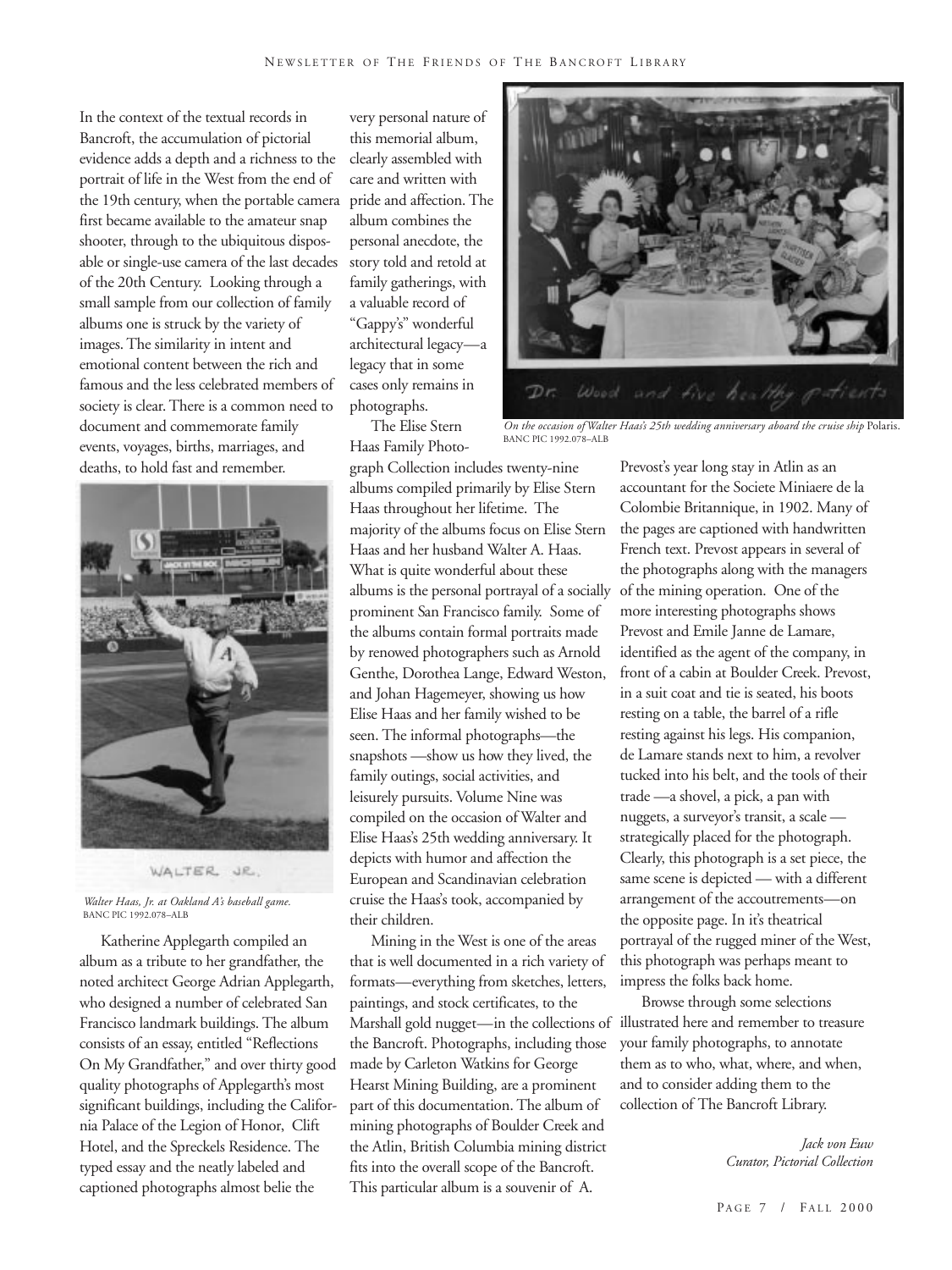In the context of the textual records in Bancroft, the accumulation of pictorial evidence adds a depth and a richness to the portrait of life in the West from the end of the 19th century, when the portable camera pride and affection. The first became available to the amateur snap shooter, through to the ubiquitous disposable or single-use camera of the last decades of the 20th Century. Looking through a small sample from our collection of family albums one is struck by the variety of images. The similarity in intent and emotional content between the rich and famous and the less celebrated members of society is clear. There is a common need to document and commemorate family events, voyages, births, marriages, and deaths, to hold fast and remember.

![](_page_6_Picture_2.jpeg)

*Walter Haas, Jr. at Oakland A's baseball game.* BANC PIC 1992.078–ALB

Katherine Applegarth compiled an album as a tribute to her grandfather, the noted architect George Adrian Applegarth, who designed a number of celebrated San Francisco landmark buildings. The album consists of an essay, entitled "Reflections On My Grandfather," and over thirty good quality photographs of Applegarth's most significant buildings, including the California Palace of the Legion of Honor, Clift Hotel, and the Spreckels Residence. The typed essay and the neatly labeled and captioned photographs almost belie the

very personal nature of this memorial album, clearly assembled with care and written with album combines the personal anecdote, the story told and retold at family gatherings, with a valuable record of "Gappy's" wonderful architectural legacy—a legacy that in some cases only remains in photographs.

The Elise Stern Haas Family Photo-

graph Collection includes twenty-nine albums compiled primarily by Elise Stern Haas throughout her lifetime. The majority of the albums focus on Elise Stern Haas and her husband Walter A. Haas. What is quite wonderful about these albums is the personal portrayal of a socially prominent San Francisco family. Some of the albums contain formal portraits made by renowed photographers such as Arnold Genthe, Dorothea Lange, Edward Weston, and Johan Hagemeyer, showing us how Elise Haas and her family wished to be seen. The informal photographs—the snapshots —show us how they lived, the family outings, social activities, and leisurely pursuits. Volume Nine was compiled on the occasion of Walter and Elise Haas's 25th wedding anniversary. It depicts with humor and affection the European and Scandinavian celebration cruise the Haas's took, accompanied by their children.

Mining in the West is one of the areas that is well documented in a rich variety of formats—everything from sketches, letters, paintings, and stock certificates, to the Marshall gold nugget—in the collections of the Bancroft. Photographs, including those made by Carleton Watkins for George Hearst Mining Building, are a prominent part of this documentation. The album of mining photographs of Boulder Creek and the Atlin, British Columbia mining district fits into the overall scope of the Bancroft. This particular album is a souvenir of A.

![](_page_6_Picture_9.jpeg)

*On the occasion of Walter Haas's 25th wedding anniversary aboard the cruise ship* Polaris. BANC PIC 1992.078–ALB

Prevost's year long stay in Atlin as an accountant for the Societe Miniaere de la Colombie Britannique, in 1902. Many of the pages are captioned with handwritten French text. Prevost appears in several of the photographs along with the managers of the mining operation. One of the more interesting photographs shows Prevost and Emile Janne de Lamare, identified as the agent of the company, in front of a cabin at Boulder Creek. Prevost, in a suit coat and tie is seated, his boots resting on a table, the barrel of a rifle resting against his legs. His companion, de Lamare stands next to him, a revolver tucked into his belt, and the tools of their trade —a shovel, a pick, a pan with nuggets, a surveyor's transit, a scale strategically placed for the photograph. Clearly, this photograph is a set piece, the same scene is depicted — with a different arrangement of the accoutrements—on the opposite page. In it's theatrical portrayal of the rugged miner of the West, this photograph was perhaps meant to impress the folks back home.

Browse through some selections illustrated here and remember to treasure your family photographs, to annotate them as to who, what, where, and when, and to consider adding them to the collection of The Bancroft Library.

> *Jack von Euw Curator, Pictorial Collection*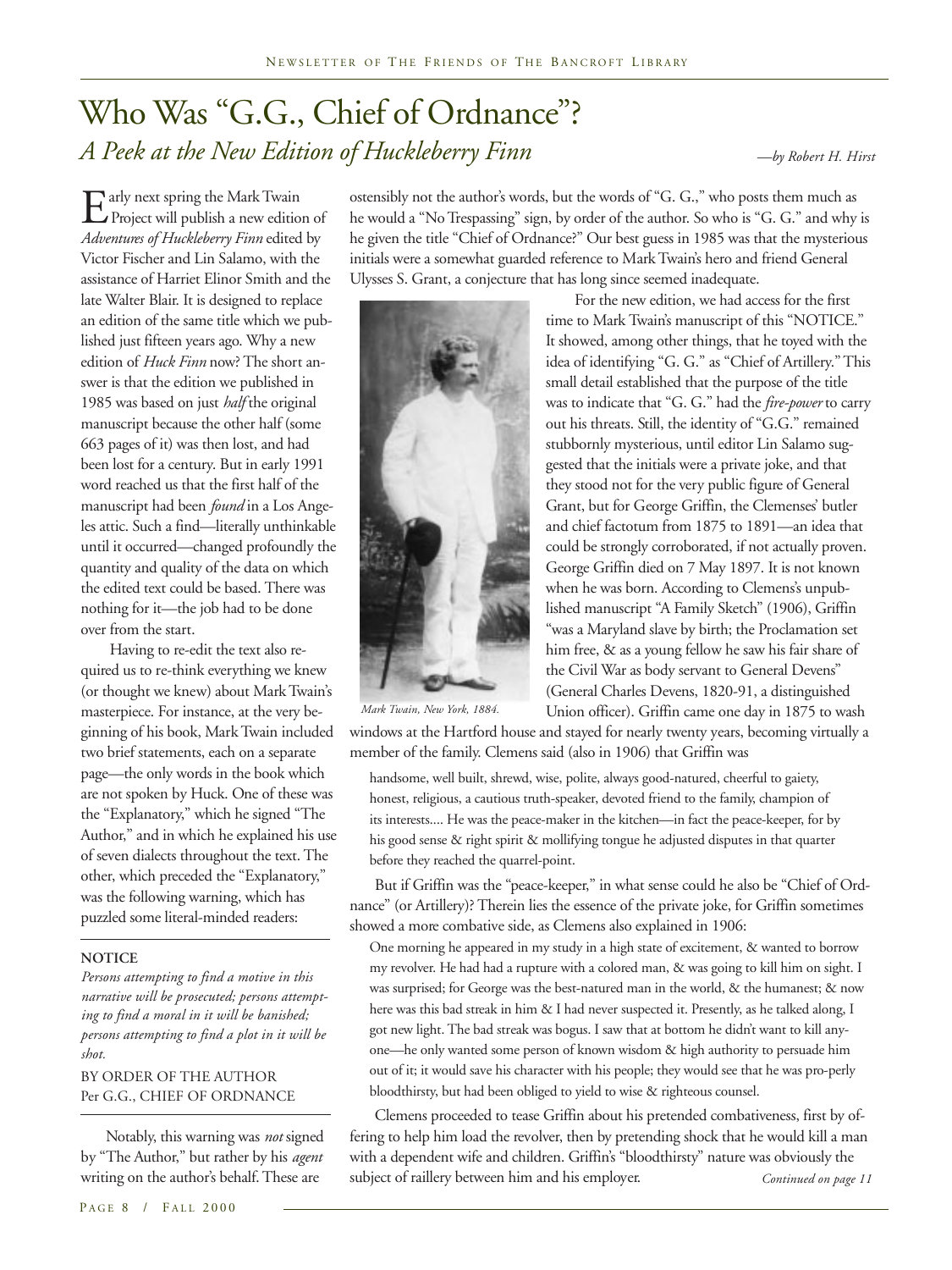# Who Was "G.G., Chief of Ordnance"? *A Peek at the New Edition of Huckleberry Finn*

*—by Robert H. Hirst*

 $\mathbf{E}$  arly next spring the Mark Twain<br>Project will publish a new editional<br>Adventures of Huckleberry Finn edited Project will publish a new edition of *Adventures of Huckleberry Finn* edited by Victor Fischer and Lin Salamo, with the assistance of Harriet Elinor Smith and the late Walter Blair. It is designed to replace an edition of the same title which we published just fifteen years ago. Why a new edition of *Huck Finn* now? The short answer is that the edition we published in 1985 was based on just *half* the original manuscript because the other half (some 663 pages of it) was then lost, and had been lost for a century. But in early 1991 word reached us that the first half of the manuscript had been *found* in a Los Angeles attic. Such a find—literally unthinkable until it occurred—changed profoundly the quantity and quality of the data on which the edited text could be based. There was nothing for it—the job had to be done over from the start.

 Having to re-edit the text also required us to re-think everything we knew (or thought we knew) about Mark Twain's masterpiece. For instance, at the very beginning of his book, Mark Twain included two brief statements, each on a separate page—the only words in the book which are not spoken by Huck. One of these was the "Explanatory," which he signed "The Author," and in which he explained his use of seven dialects throughout the text. The other, which preceded the "Explanatory," was the following warning, which has puzzled some literal-minded readers:

### **NOTICE**

*Persons attempting to find a motive in this narrative will be prosecuted; persons attempting to find a moral in it will be banished; persons attempting to find a plot in it will be shot.*

### BY ORDER OF THE AUTHOR Per G.G., CHIEF OF ORDNANCE

 Notably, this warning was *not* signed by "The Author," but rather by his *agent* writing on the author's behalf. These are

ostensibly not the author's words, but the words of "G. G.," who posts them much as he would a "No Trespassing" sign, by order of the author. So who is "G. G." and why is he given the title "Chief of Ordnance?" Our best guess in 1985 was that the mysterious initials were a somewhat guarded reference to Mark Twain's hero and friend General Ulysses S. Grant, a conjecture that has long since seemed inadequate.

> For the new edition, we had access for the first time to Mark Twain's manuscript of this "NOTICE." It showed, among other things, that he toyed with the idea of identifying "G. G." as "Chief of Artillery." This small detail established that the purpose of the title was to indicate that "G. G." had the *fire-power* to carry out his threats. Still, the identity of "G.G." remained stubbornly mysterious, until editor Lin Salamo suggested that the initials were a private joke, and that they stood not for the very public figure of General Grant, but for George Griffin, the Clemenses' butler and chief factotum from 1875 to 1891—an idea that could be strongly corroborated, if not actually proven. George Griffin died on 7 May 1897. It is not known when he was born. According to Clemens's unpublished manuscript "A Family Sketch" (1906), Griffin "was a Maryland slave by birth; the Proclamation set him free, & as a young fellow he saw his fair share of the Civil War as body servant to General Devens" (General Charles Devens, 1820-91, a distinguished Union officer). Griffin came one day in 1875 to wash

![](_page_7_Picture_11.jpeg)

*Mark Twain, New York, 1884.*

windows at the Hartford house and stayed for nearly twenty years, becoming virtually a member of the family. Clemens said (also in 1906) that Griffin was

handsome, well built, shrewd, wise, polite, always good-natured, cheerful to gaiety, honest, religious, a cautious truth-speaker, devoted friend to the family, champion of its interests.... He was the peace-maker in the kitchen—in fact the peace-keeper, for by his good sense & right spirit & mollifying tongue he adjusted disputes in that quarter before they reached the quarrel-point.

 But if Griffin was the "peace-keeper," in what sense could he also be "Chief of Ordnance" (or Artillery)? Therein lies the essence of the private joke, for Griffin sometimes showed a more combative side, as Clemens also explained in 1906:

One morning he appeared in my study in a high state of excitement, & wanted to borrow my revolver. He had had a rupture with a colored man, & was going to kill him on sight. I was surprised; for George was the best-natured man in the world, & the humanest; & now here was this bad streak in him & I had never suspected it. Presently, as he talked along, I got new light. The bad streak was bogus. I saw that at bottom he didn't want to kill anyone—he only wanted some person of known wisdom & high authority to persuade him out of it; it would save his character with his people; they would see that he was pro-perly bloodthirsty, but had been obliged to yield to wise & righteous counsel.

 Clemens proceeded to tease Griffin about his pretended combativeness, first by offering to help him load the revolver, then by pretending shock that he would kill a man with a dependent wife and children. Griffin's "bloodthirsty" nature was obviously the subject of raillery between him and his employer. *Continued on page 11*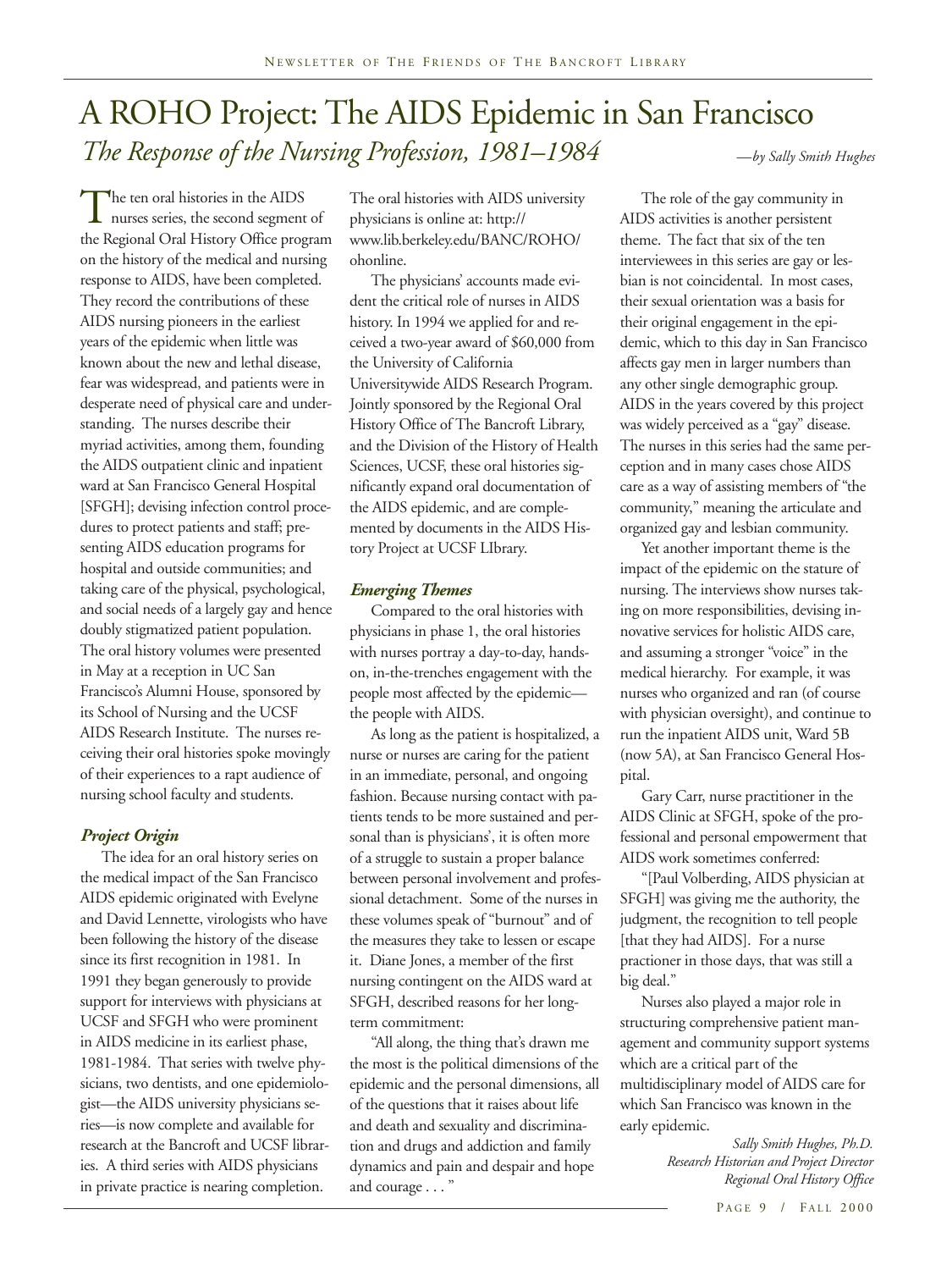# A ROHO Project: The AIDS Epidemic in San Francisco *The Response of the Nursing Profession, 1981–1984*

The ten oral histories in the AIDS<br>nurses series, the second segment<br>the Regional Oral History Office proc nurses series, the second segment of the Regional Oral History Office program on the history of the medical and nursing response to AIDS, have been completed. They record the contributions of these AIDS nursing pioneers in the earliest years of the epidemic when little was known about the new and lethal disease, fear was widespread, and patients were in desperate need of physical care and understanding. The nurses describe their myriad activities, among them, founding the AIDS outpatient clinic and inpatient ward at San Francisco General Hospital [SFGH]; devising infection control procedures to protect patients and staff; presenting AIDS education programs for hospital and outside communities; and taking care of the physical, psychological, and social needs of a largely gay and hence doubly stigmatized patient population. The oral history volumes were presented in May at a reception in UC San Francisco's Alumni House, sponsored by its School of Nursing and the UCSF AIDS Research Institute. The nurses receiving their oral histories spoke movingly of their experiences to a rapt audience of nursing school faculty and students.

### *Project Origin*

The idea for an oral history series on the medical impact of the San Francisco AIDS epidemic originated with Evelyne and David Lennette, virologists who have been following the history of the disease since its first recognition in 1981. In 1991 they began generously to provide support for interviews with physicians at UCSF and SFGH who were prominent in AIDS medicine in its earliest phase, 1981-1984. That series with twelve physicians, two dentists, and one epidemiologist—the AIDS university physicians series—is now complete and available for research at the Bancroft and UCSF libraries. A third series with AIDS physicians in private practice is nearing completion.

The oral histories with AIDS university physicians is online at: http:// www.lib.berkeley.edu/BANC/ROHO/ ohonline.

The physicians' accounts made evident the critical role of nurses in AIDS history. In 1994 we applied for and received a two-year award of \$60,000 from the University of California Universitywide AIDS Research Program. Jointly sponsored by the Regional Oral History Office of The Bancroft Library, and the Division of the History of Health Sciences, UCSF, these oral histories significantly expand oral documentation of the AIDS epidemic, and are complemented by documents in the AIDS History Project at UCSF LIbrary.

### *Emerging Themes*

Compared to the oral histories with physicians in phase 1, the oral histories with nurses portray a day-to-day, handson, in-the-trenches engagement with the people most affected by the epidemic the people with AIDS.

As long as the patient is hospitalized, a nurse or nurses are caring for the patient in an immediate, personal, and ongoing fashion. Because nursing contact with patients tends to be more sustained and personal than is physicians', it is often more of a struggle to sustain a proper balance between personal involvement and professional detachment. Some of the nurses in these volumes speak of "burnout" and of the measures they take to lessen or escape it. Diane Jones, a member of the first nursing contingent on the AIDS ward at SFGH, described reasons for her longterm commitment:

"All along, the thing that's drawn me the most is the political dimensions of the epidemic and the personal dimensions, all of the questions that it raises about life and death and sexuality and discrimination and drugs and addiction and family dynamics and pain and despair and hope and courage . . . "

*—by Sally Smith Hughes*

The role of the gay community in AIDS activities is another persistent theme. The fact that six of the ten interviewees in this series are gay or lesbian is not coincidental. In most cases, their sexual orientation was a basis for their original engagement in the epidemic, which to this day in San Francisco affects gay men in larger numbers than any other single demographic group. AIDS in the years covered by this project was widely perceived as a "gay" disease. The nurses in this series had the same perception and in many cases chose AIDS care as a way of assisting members of "the community," meaning the articulate and organized gay and lesbian community.

Yet another important theme is the impact of the epidemic on the stature of nursing. The interviews show nurses taking on more responsibilities, devising innovative services for holistic AIDS care, and assuming a stronger "voice" in the medical hierarchy. For example, it was nurses who organized and ran (of course with physician oversight), and continue to run the inpatient AIDS unit, Ward 5B (now 5A), at San Francisco General Hospital.

Gary Carr, nurse practitioner in the AIDS Clinic at SFGH, spoke of the professional and personal empowerment that AIDS work sometimes conferred:

"[Paul Volberding, AIDS physician at SFGH] was giving me the authority, the judgment, the recognition to tell people [that they had AIDS]. For a nurse practioner in those days, that was still a big deal."

Nurses also played a major role in structuring comprehensive patient management and community support systems which are a critical part of the multidisciplinary model of AIDS care for which San Francisco was known in the early epidemic.

> *Sally Smith Hughes, Ph.D. Research Historian and Project Director Regional Oral History Office*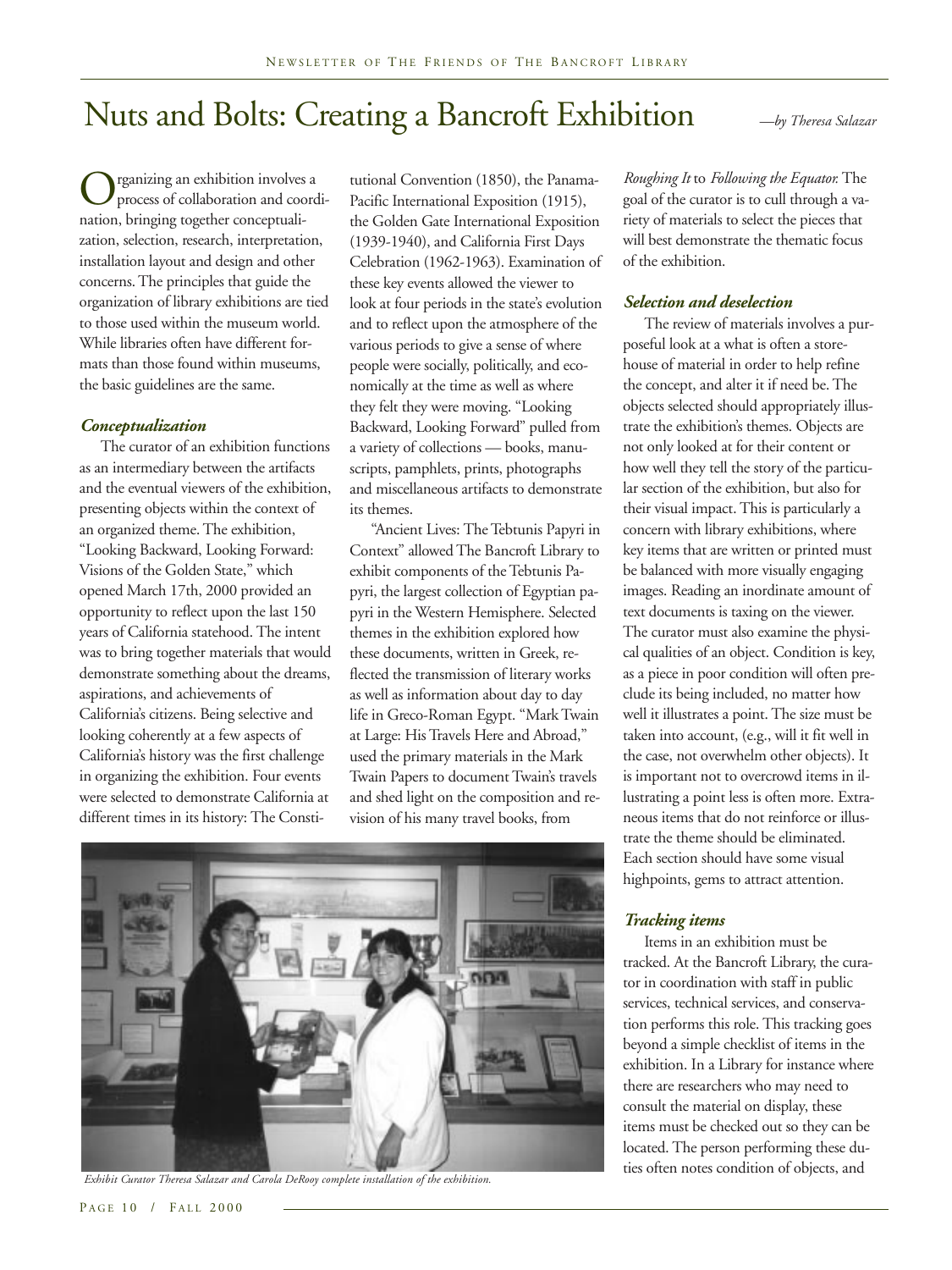# Nuts and Bolts: Creating a Bancroft Exhibition *—by Theresa Salazar*

Organizing an exhibition involves a<br>process of collaboration and coordination.<br>principle together concentualiprocess of collaboration and coordination, bringing together conceptualization, selection, research, interpretation, installation layout and design and other concerns. The principles that guide the organization of library exhibitions are tied to those used within the museum world. While libraries often have different formats than those found within museums, the basic guidelines are the same.

### *Conceptualization*

The curator of an exhibition functions as an intermediary between the artifacts and the eventual viewers of the exhibition, presenting objects within the context of an organized theme. The exhibition, "Looking Backward, Looking Forward: Visions of the Golden State," which opened March 17th, 2000 provided an opportunity to reflect upon the last 150 years of California statehood. The intent was to bring together materials that would demonstrate something about the dreams, aspirations, and achievements of California's citizens. Being selective and looking coherently at a few aspects of California's history was the first challenge in organizing the exhibition. Four events were selected to demonstrate California at different times in its history: The Constitutional Convention (1850), the Panama-Pacific International Exposition (1915), the Golden Gate International Exposition (1939-1940), and California First Days Celebration (1962-1963). Examination of these key events allowed the viewer to look at four periods in the state's evolution and to reflect upon the atmosphere of the various periods to give a sense of where people were socially, politically, and economically at the time as well as where they felt they were moving. "Looking Backward, Looking Forward" pulled from a variety of collections — books, manuscripts, pamphlets, prints, photographs and miscellaneous artifacts to demonstrate its themes.

"Ancient Lives: The Tebtunis Papyri in Context" allowed The Bancroft Library to exhibit components of the Tebtunis Papyri, the largest collection of Egyptian papyri in the Western Hemisphere. Selected themes in the exhibition explored how these documents, written in Greek, reflected the transmission of literary works as well as information about day to day life in Greco-Roman Egypt. "Mark Twain at Large: His Travels Here and Abroad," used the primary materials in the Mark Twain Papers to document Twain's travels and shed light on the composition and revision of his many travel books, from

![](_page_9_Picture_8.jpeg)

*Roughing It* to *Following the Equator.* The goal of the curator is to cull through a variety of materials to select the pieces that will best demonstrate the thematic focus of the exhibition.

### *Selection and deselection*

The review of materials involves a purposeful look at a what is often a storehouse of material in order to help refine the concept, and alter it if need be. The objects selected should appropriately illustrate the exhibition's themes. Objects are not only looked at for their content or how well they tell the story of the particular section of the exhibition, but also for their visual impact. This is particularly a concern with library exhibitions, where key items that are written or printed must be balanced with more visually engaging images. Reading an inordinate amount of text documents is taxing on the viewer. The curator must also examine the physical qualities of an object. Condition is key, as a piece in poor condition will often preclude its being included, no matter how well it illustrates a point. The size must be taken into account, (e.g., will it fit well in the case, not overwhelm other objects). It is important not to overcrowd items in illustrating a point less is often more. Extraneous items that do not reinforce or illustrate the theme should be eliminated. Each section should have some visual highpoints, gems to attract attention.

### *Tracking items*

Items in an exhibition must be tracked. At the Bancroft Library, the curator in coordination with staff in public services, technical services, and conservation performs this role. This tracking goes beyond a simple checklist of items in the exhibition. In a Library for instance where there are researchers who may need to consult the material on display, these items must be checked out so they can be located. The person performing these du-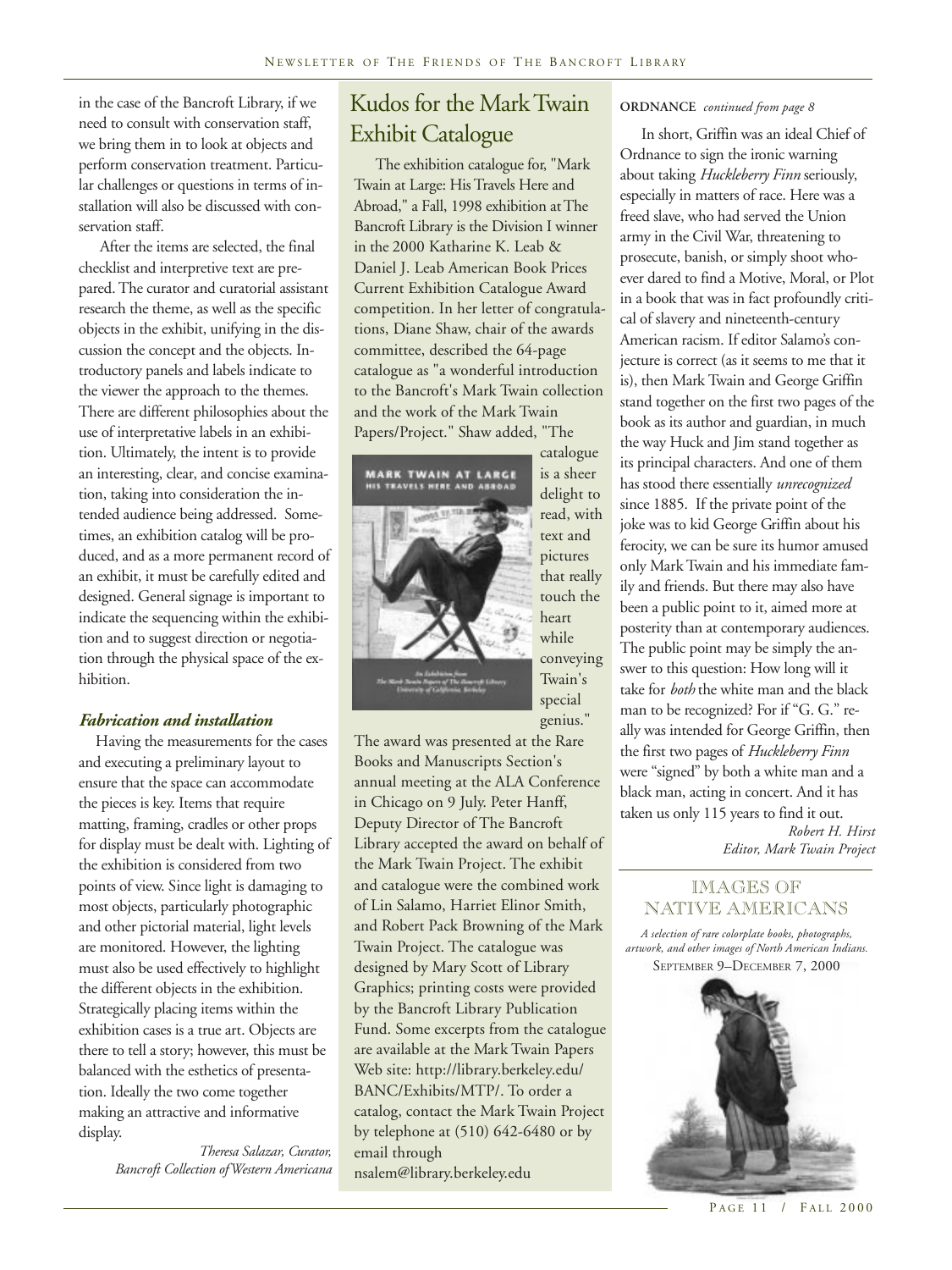in the case of the Bancroft Library, if we need to consult with conservation staff, we bring them in to look at objects and perform conservation treatment. Particular challenges or questions in terms of installation will also be discussed with conservation staff.

After the items are selected, the final checklist and interpretive text are prepared. The curator and curatorial assistant research the theme, as well as the specific objects in the exhibit, unifying in the discussion the concept and the objects. Introductory panels and labels indicate to the viewer the approach to the themes. There are different philosophies about the use of interpretative labels in an exhibition. Ultimately, the intent is to provide an interesting, clear, and concise examination, taking into consideration the intended audience being addressed. Sometimes, an exhibition catalog will be produced, and as a more permanent record of an exhibit, it must be carefully edited and designed. General signage is important to indicate the sequencing within the exhibition and to suggest direction or negotiation through the physical space of the exhibition.

### *Fabrication and installation*

Having the measurements for the cases and executing a preliminary layout to ensure that the space can accommodate the pieces is key. Items that require matting, framing, cradles or other props for display must be dealt with. Lighting of the exhibition is considered from two points of view. Since light is damaging to most objects, particularly photographic and other pictorial material, light levels are monitored. However, the lighting must also be used effectively to highlight the different objects in the exhibition. Strategically placing items within the exhibition cases is a true art. Objects are there to tell a story; however, this must be balanced with the esthetics of presentation. Ideally the two come together making an attractive and informative display.

> *Theresa Salazar, Curator, Bancroft Collection of Western Americana*

### Kudos for the Mark Twain Exhibit Catalogue

The exhibition catalogue for, "Mark Twain at Large: His Travels Here and Abroad," a Fall, 1998 exhibition at The Bancroft Library is the Division I winner in the 2000 Katharine K. Leab & Daniel J. Leab American Book Prices Current Exhibition Catalogue Award competition. In her letter of congratulations, Diane Shaw, chair of the awards committee, described the 64-page catalogue as "a wonderful introduction to the Bancroft's Mark Twain collection and the work of the Mark Twain Papers/Project." Shaw added, "The

![](_page_10_Picture_8.jpeg)

delight to read, with text and pictures that really touch the heart while conveying Twain's special

genius."

catalogue is a sheer

The award was presented at the Rare Books and Manuscripts Section's annual meeting at the ALA Conference in Chicago on 9 July. Peter Hanff, Deputy Director of The Bancroft Library accepted the award on behalf of the Mark Twain Project. The exhibit and catalogue were the combined work of Lin Salamo, Harriet Elinor Smith, and Robert Pack Browning of the Mark Twain Project. The catalogue was designed by Mary Scott of Library Graphics; printing costs were provided by the Bancroft Library Publication Fund. Some excerpts from the catalogue are available at the Mark Twain Papers Web site: http://library.berkeley.edu/ BANC/Exhibits/MTP/. To order a catalog, contact the Mark Twain Project by telephone at (510) 642-6480 or by email through nsalem@library.berkeley.edu

### **ORDNANCE** *continued from page 8*

In short, Griffin was an ideal Chief of Ordnance to sign the ironic warning about taking *Huckleberry Finn* seriously, especially in matters of race. Here was a freed slave, who had served the Union army in the Civil War, threatening to prosecute, banish, or simply shoot whoever dared to find a Motive, Moral, or Plot in a book that was in fact profoundly critical of slavery and nineteenth-century American racism. If editor Salamo's conjecture is correct (as it seems to me that it is), then Mark Twain and George Griffin stand together on the first two pages of the book as its author and guardian, in much the way Huck and Jim stand together as its principal characters. And one of them has stood there essentially *unrecognized* since 1885. If the private point of the joke was to kid George Griffin about his ferocity, we can be sure its humor amused only Mark Twain and his immediate family and friends. But there may also have been a public point to it, aimed more at posterity than at contemporary audiences. The public point may be simply the answer to this question: How long will it take for *both* the white man and the black man to be recognized? For if "G. G." really was intended for George Griffin, then the first two pages of *Huckleberry Finn* were "signed" by both a white man and a black man, acting in concert. And it has taken us only 115 years to find it out.

> *Robert H. Hirst Editor, Mark Twain Project*

### IMAGES OF NATIVE AMERICANS

*A selection of rare colorplate books, photographs, artwork, and other images of North American Indians.* SEPTEMBER 9–DECEMBER 7, 2000

![](_page_10_Picture_16.jpeg)

PAGE 11 / FALL 2000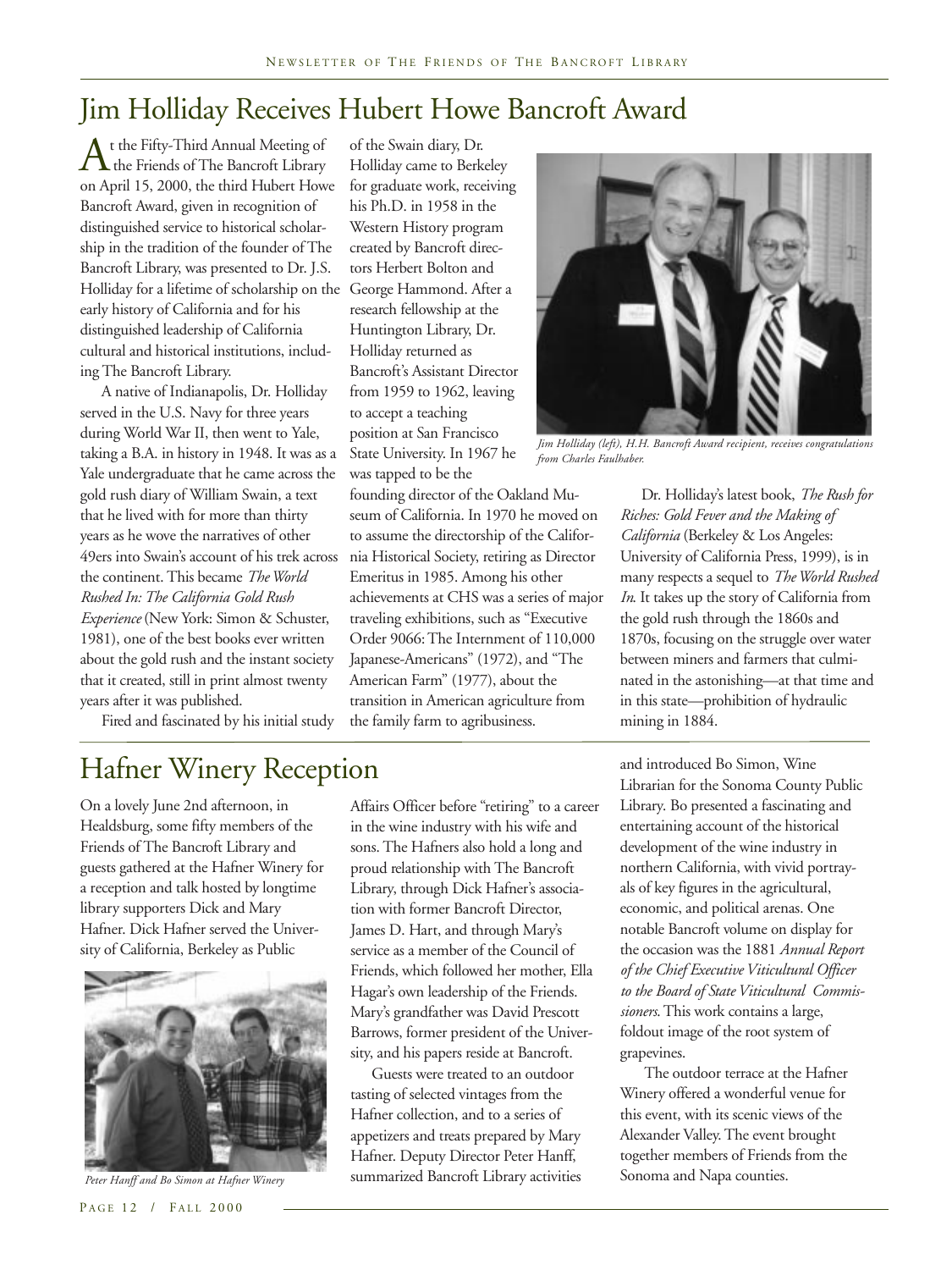### Jim Holliday Receives Hubert Howe Bancroft Award

t the Fifty-Third Annual Meeting of<br>the Friends of The Bancroft Library<br>on April 15, 2000, the third Hubert How the Friends of The Bancroft Library on April 15, 2000, the third Hubert Howe Bancroft Award, given in recognition of distinguished service to historical scholarship in the tradition of the founder of The Bancroft Library, was presented to Dr. J.S. Holliday for a lifetime of scholarship on the George Hammond. After a early history of California and for his distinguished leadership of California cultural and historical institutions, including The Bancroft Library.

A native of Indianapolis, Dr. Holliday served in the U.S. Navy for three years during World War II, then went to Yale, taking a B.A. in history in 1948. It was as a Yale undergraduate that he came across the gold rush diary of William Swain, a text that he lived with for more than thirty years as he wove the narratives of other 49ers into Swain's account of his trek across the continent. This became *The World Rushed In: The California Gold Rush Experience* (New York: Simon & Schuster, 1981), one of the best books ever written about the gold rush and the instant society that it created, still in print almost twenty years after it was published.

Fired and fascinated by his initial study

of the Swain diary, Dr. Holliday came to Berkeley for graduate work, receiving his Ph.D. in 1958 in the Western History program created by Bancroft directors Herbert Bolton and research fellowship at the Huntington Library, Dr. Holliday returned as Bancroft's Assistant Director from 1959 to 1962, leaving to accept a teaching position at San Francisco State University. In 1967 he was tapped to be the

founding director of the Oakland Museum of California. In 1970 he moved on to assume the directorship of the California Historical Society, retiring as Director Emeritus in 1985. Among his other achievements at CHS was a series of major traveling exhibitions, such as "Executive Order 9066: The Internment of 110,000 Japanese-Americans" (1972), and "The American Farm" (1977), about the transition in American agriculture from the family farm to agribusiness.

![](_page_11_Picture_7.jpeg)

*Jim Holliday (left), H.H. Bancroft Award recipient, receives congratulations from Charles Faulhaber.*

Dr. Holliday's latest book, *The Rush for Riches: Gold Fever and the Making of California* (Berkeley & Los Angeles: University of California Press, 1999), is in many respects a sequel to *The World Rushed In*. It takes up the story of California from the gold rush through the 1860s and 1870s, focusing on the struggle over water between miners and farmers that culminated in the astonishing—at that time and in this state—prohibition of hydraulic mining in 1884.

### Hafner Winery Reception

On a lovely June 2nd afternoon, in Healdsburg, some fifty members of the Friends of The Bancroft Library and guests gathered at the Hafner Winery for a reception and talk hosted by longtime library supporters Dick and Mary Hafner. Dick Hafner served the University of California, Berkeley as Public

![](_page_11_Picture_12.jpeg)

Affairs Officer before "retiring" to a career in the wine industry with his wife and sons. The Hafners also hold a long and proud relationship with The Bancroft Library, through Dick Hafner's association with former Bancroft Director, James D. Hart, and through Mary's service as a member of the Council of Friends, which followed her mother, Ella Hagar's own leadership of the Friends. Mary's grandfather was David Prescott Barrows, former president of the University, and his papers reside at Bancroft.

Guests were treated to an outdoor tasting of selected vintages from the Hafner collection, and to a series of appetizers and treats prepared by Mary Hafner. Deputy Director Peter Hanff, Peter Hanff and Bo Simon at Hafner Winery Summarized Bancroft Library activities Sonoma and Napa counties.

and introduced Bo Simon, Wine Librarian for the Sonoma County Public Library. Bo presented a fascinating and entertaining account of the historical development of the wine industry in northern California, with vivid portrayals of key figures in the agricultural, economic, and political arenas. One notable Bancroft volume on display for the occasion was the 1881 *Annual Report of the Chief Executive Viticultural Officer to the Board of State Viticultural Commissioners*. This work contains a large, foldout image of the root system of grapevines.

 The outdoor terrace at the Hafner Winery offered a wonderful venue for this event, with its scenic views of the Alexander Valley. The event brought together members of Friends from the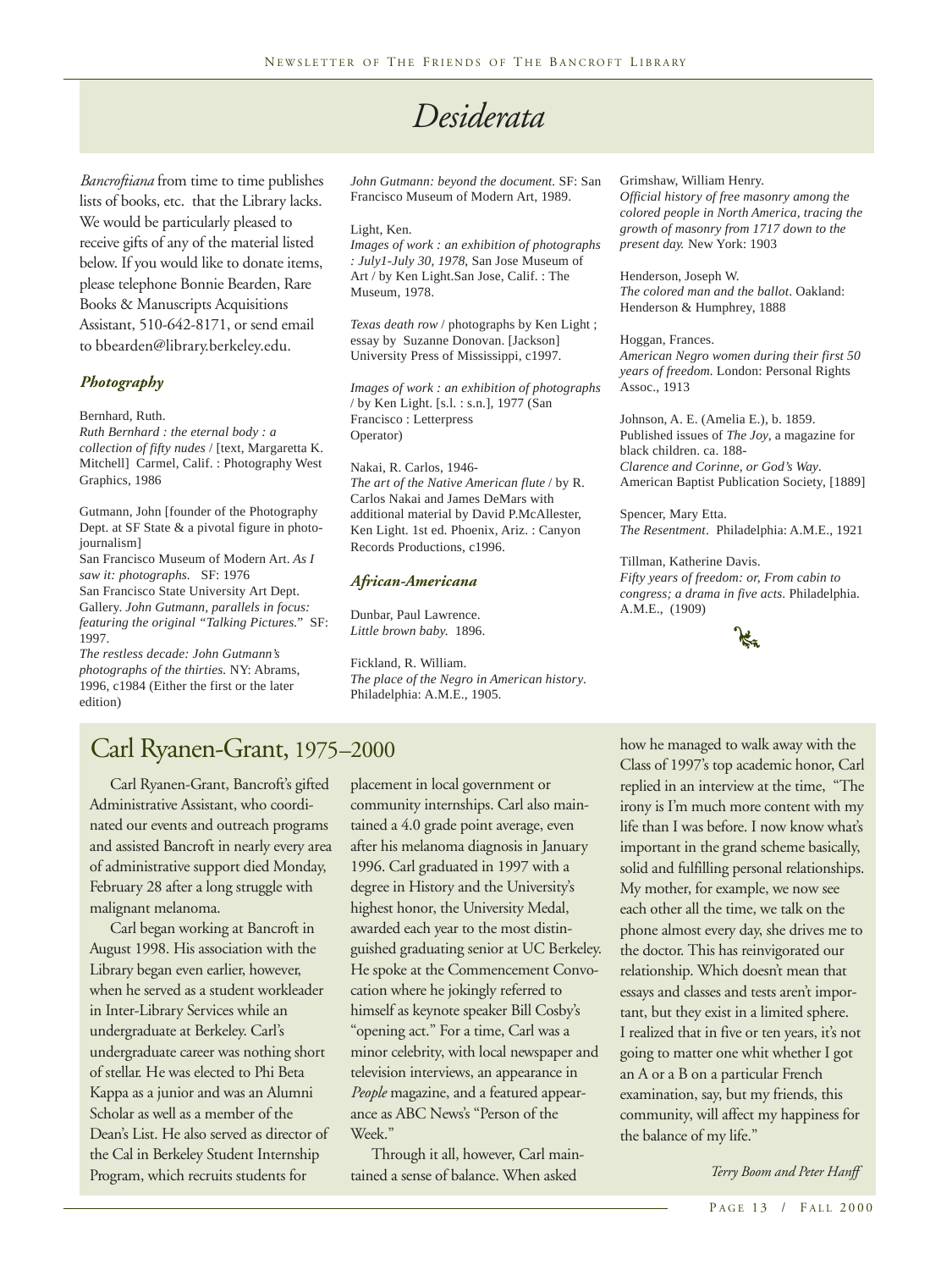# *Desiderata*

*Bancroftiana* from time to time publishes lists of books, etc. that the Library lacks. We would be particularly pleased to receive gifts of any of the material listed below. If you would like to donate items, please telephone Bonnie Bearden, Rare Books & Manuscripts Acquisitions Assistant, 510-642-8171, or send email to bbearden@library.berkeley.edu.

### *Photography*

Bernhard, Ruth.

*Ruth Bernhard : the eternal body : a collection of fifty nudes* / [text, Margaretta K. Mitchell] Carmel, Calif. : Photography West Graphics, 1986

Gutmann, John [founder of the Photography Dept. at SF State & a pivotal figure in photojournalism]

San Francisco Museum of Modern Art. *As I saw it: photographs.* SF: 1976

San Francisco State University Art Dept. Gallery. *John Gutmann, parallels in focus: featuring the original "Talking Pictures*." SF: 1997.

*The restless decade: John Gutmann's photographs of the thirties.* NY: Abrams, 1996, c1984 (Either the first or the later edition)

*John Gutmann: beyond the document.* SF: San Francisco Museum of Modern Art, 1989.

#### Light, Ken.

*Images of work : an exhibition of photographs : July1-July 30, 1978*, San Jose Museum of Art / by Ken Light.San Jose, Calif. : The Museum, 1978.

*Texas death row* / photographs by Ken Light ; essay by Suzanne Donovan. [Jackson] University Press of Mississippi, c1997.

*Images of work : an exhibition of photographs* / by Ken Light. [s.l. : s.n.], 1977 (San Francisco : Letterpress Operator)

Nakai, R. Carlos, 1946- *The art of the Native American flute* / by R. Carlos Nakai and James DeMars with additional material by David P.McAllester, Ken Light. 1st ed. Phoenix, Ariz. : Canyon Records Productions, c1996.

#### *African-Americana*

Dunbar, Paul Lawrence. *Little brown baby.* 1896.

Fickland, R. William. *The place of the Negro in American history*. Philadelphia: A.M.E., 1905.

#### Grimshaw, William Henry.

*Official history of free masonry among the colored people in North America, tracing the growth of masonry from 1717 down to the present day.* New York: 1903

Henderson, Joseph W. *The colored man and the ballot*. Oakland: Henderson & Humphrey, 1888

#### Hoggan, Frances.

*American Negro women during their first 50 years of freedom.* London: Personal Rights Assoc., 1913

Johnson, A. E. (Amelia E.), b. 1859. Published issues of *The Joy*, a magazine for black children. ca. 188- *Clarence and Corinne, or God's Way*. American Baptist Publication Society, [1889]

Spencer, Mary Etta. *The Resentment*. Philadelphia: A.M.E., 1921

#### Tillman, Katherine Davis. *Fifty years of freedom: or, From cabin to*

*congress; a drama in five acts*. Philadelphia. A.M.E., (1909)

![](_page_12_Picture_28.jpeg)

### Carl Ryanen-Grant, 1975–2000

Carl Ryanen-Grant, Bancroft's gifted Administrative Assistant, who coordinated our events and outreach programs and assisted Bancroft in nearly every area of administrative support died Monday, February 28 after a long struggle with malignant melanoma.

Carl began working at Bancroft in August 1998. His association with the Library began even earlier, however, when he served as a student workleader in Inter-Library Services while an undergraduate at Berkeley. Carl's undergraduate career was nothing short of stellar. He was elected to Phi Beta Kappa as a junior and was an Alumni Scholar as well as a member of the Dean's List. He also served as director of the Cal in Berkeley Student Internship Program, which recruits students for

placement in local government or community internships. Carl also maintained a 4.0 grade point average, even after his melanoma diagnosis in January 1996. Carl graduated in 1997 with a degree in History and the University's highest honor, the University Medal, awarded each year to the most distinguished graduating senior at UC Berkeley. He spoke at the Commencement Convocation where he jokingly referred to himself as keynote speaker Bill Cosby's "opening act." For a time, Carl was a minor celebrity, with local newspaper and television interviews, an appearance in *People* magazine, and a featured appearance as ABC News's "Person of the Week."

Through it all, however, Carl maintained a sense of balance. When asked

how he managed to walk away with the Class of 1997's top academic honor, Carl replied in an interview at the time, "The irony is I'm much more content with my life than I was before. I now know what's important in the grand scheme basically, solid and fulfilling personal relationships. My mother, for example, we now see each other all the time, we talk on the phone almost every day, she drives me to the doctor. This has reinvigorated our relationship. Which doesn't mean that essays and classes and tests aren't important, but they exist in a limited sphere. I realized that in five or ten years, it's not going to matter one whit whether I got an A or a B on a particular French examination, say, but my friends, this community, will affect my happiness for the balance of my life."

*Terry Boom and Peter Hanff*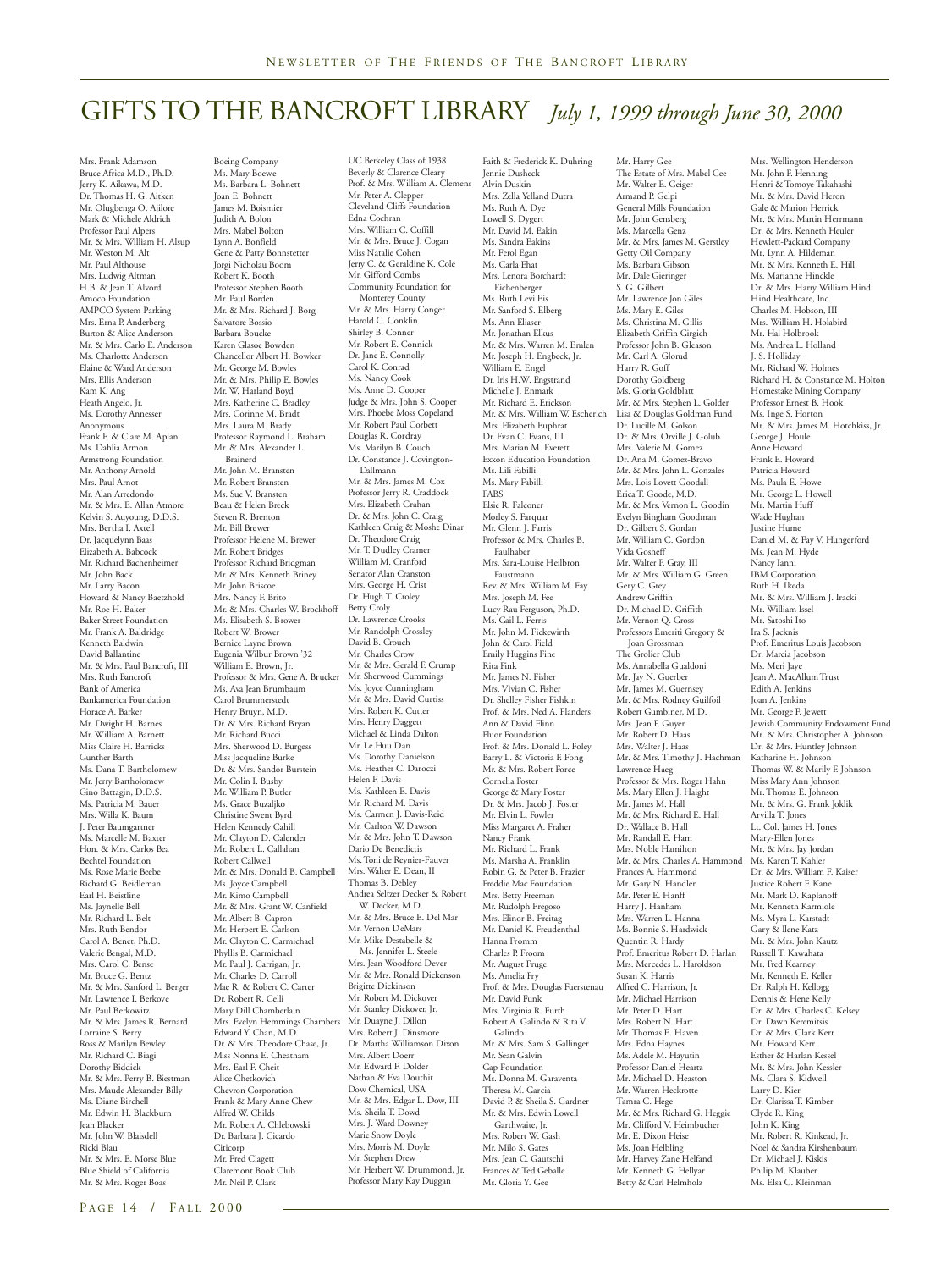### GIFTS TO THE BANCROFT LIBRARY *July 1, 1999 through June 30, 2000*

Mrs. Frank Adamson Bruce Africa M.D., Ph.D. Jerry K. Aikawa, M.D. Dr. Thomas H. G. Aitken Mr. Olugbenga O. Ajilore Mark & Michele Aldrich Professor Paul Alpers Mr. & Mrs. William H. Alsup Mr. Weston M. Alt Mr. Paul Althouse Mrs. Ludwig Altman H.B. & Jean T. Alvord Amoco Foundation AMPCO System Parking Mrs. Erna P. Anderberg Burton & Alice Anderson Mr. & Mrs. Carlo E. Anderson Ms. Charlotte Anderson Elaine & Ward Anderson Mrs. Ellis Anderson Kam K. Ang Heath Angelo, Jr. Ms. Dorothy Annesser<br>Anonymous Anonymous Frank F. & Clare M. Aplan Ms. Dahlia Armon Armstrong Foundation Mr. Anthony Arnold Mrs. Paul Arnot Mr. Alan Arredondo Mr. & Mrs. E. Allan Atmore Kelvin S. Auyoung, D.D.S. Mrs. Bertha I. Axtell Dr. Jacquelynn Baas Elizabeth A. Babcock Mr. Richard Bachenheimer Mr. John Back Mr. Larry Bacon Howard & Nancy Baetzhold Mr. Roe H. Baker Baker Street Foundation Mr. Frank A. Baldridge Kenneth Baldwin David Ballantine Mr. & Mrs. Paul Bancroft, III Mrs. Ruth Bancroft Bank of America Bankamerica Foundation Horace A. Barker Mr. Dwight H. Barnes Mr. William A. Barnett Miss Claire H. Barricks Gunther Barth Ms. Dana T. Bartholomew Mr. Jerry Bartholomew Gino Battagin, D.D.S. Ms. Patricia M. Bauer Mrs. Willa K. Baum J. Peter Baumgartner Ms. Marcelle M. Baxter Hon. & Mrs. Carlos Bea Bechtel Foundation Ms. Rose Marie Beebe Richard G. Beidleman Earl H. Beistline Ms. Jaynelle Bell Mr. Richard L. Belt Mrs. Ruth Bendor Carol A. Benet, Ph.D. Valerie Bengal, M.D. Mrs. Carol C. Bense Mr. Bruce G. Bentz Mr. & Mrs. Sanford L. Berger Mr. Lawrence I. Berkove<br>Mr. Paul Berkowitz Mr. Paul Berkowitz Mr. & Mrs. James R. Bernard Lorraine S. Berry Ross & Marilyn Bewley Mr. Richard C. Biagi Dorothy Biddick Mr. & Mrs. Perry B. Biestman Mrs. Maude Alexander Billy Ms. Diane Birchell Mr. Edwin H. Blackburn Jean Blacker Mr. John W. Blaisdell Ricki Blau Mr. & Mrs. E. Morse Blue Blue Shield of California Mr. & Mrs. Roger Boas

Boeing Company Ms. Mary Boewe Ms. Barbara L. Bohnett Joan E. Bohnett James M. Boismier Judith A. Bolon Mrs. Mabel Bolton Lynn A. Bonfield Gene & Patty Bonnstetter Jorgi Nicholau Boom Robert K. Booth Professor Stephen Booth Mr. Paul Borden Mr. & Mrs. Richard J. Borg Salvatore Bossio Barbara Boucke<br>Karen Glasoe Bowden Karen Glasoe Bowden Chancellor Albert H. Bowker Mr. George M. Bowles Mr. & Mrs. Philip E. Bowles Mr. & Mis. 1 Hip E. 1<br>Mr. W. Harland Boyd Mrs. Katherine C. Bradley Mrs. Corinne M. Bradt Mrs. Laura M. Brady Professor Raymond L. Braham Mr. & Mrs. Alexander L. Brainerd Mr. John M. Bransten Mr. Robert Bransten Ms. Sue V. Bransten Beau & Helen Breck Steven R. Brenton Mr. Bill Brewer Professor Helene M. Brewer Mr. Robert Bridges Professor Richard Bridgman Mr. & Mrs. Kenneth Briney Mr. John Briscoe Mrs. Nancy F. Brito Mr. & Mrs. Charles W. Brockhoff Ms. Elisabeth S. Brower Robert W. Brower Bernice Layne Brown Eugenia Wilbur Brown '32 William E. Brown, Jr. Professor & Mrs. Gene A. Brucker Ms. Ava Jean Brumbaum Carol Brummerstedt Henry Bruyn, M.D. Dr. & Mrs. Richard Bryan Mr. Richard Bucci Mrs. Sherwood D. Burgess Miss Jacqueline Burke Dr. & Mrs. Sandor Burstein Mr. Colin I. Busby Mr. William P. Butler Ms. Grace Buzaljko Christine Swent Byrd Helen Kennedy Cahill Mr. Clayton D. Calender Mr. Robert L. Callahan Robert Callwell Mr. & Mrs. Donald B. Campbell Ms. Joyce Campbell Mr. Kimo Campbell Mr. & Mrs. Grant W. Canfield Mr. Albert B. Capron Mr. Herbert E. Carlson Mr. Clayton C. Carmichael Phyllis B. Carmichael Mr. Paul J. Carrigan, Jr. Mr. Charles D. Carroll Mae R. & Robert C. Carter Dr. Robert R. Celli Mary Dill Chamberlain Mrs. Evelyn Hemmings Chambers Edward Y. Chan, M.D. Dr. & Mrs. Theodore Chase, Jr. Miss Nonna E. Cheatham Mrs. Earl F. Cheit Alice Chetkovich Chevron Corporation Frank & Mary Anne Chew Alfred W. Childs Mr. Robert A. Chlebowski Dr. Barbara J. Cicardo Citicorp Mr. Fred Clagett Claremont Book Club Mr. Neil P. Clark

UC Berkeley Class of 1938 Beverly & Clarence Cleary Prof. & Mrs. William A. Clemens Mr. Peter A. Clepper Cleveland Cliffs Foundation Edna Cochran Mrs. William C. Coffill Mr. & Mrs. Bruce J. Cogan Miss Natalie Cohen Jerry C. & Geraldine K. Cole Mr. Gifford Combs Community Foundation for Monterey County Mr. & Mrs. Harry Conger Harold C. Conklin Shirley B. Conner Mr. Robert E. Connick Dr. Jane E. Connolly Carol K. Conrad Ms. Nancy Cook Ms. Anne D. Cooper Judge & Mrs. John S. Cooper Mrs. Phoebe Moss Copeland Mr. Robert Paul Corbett Douglas R. Cordray Ms. Marilyn B. Couch Dr. Constance J. Covington- Dallmann Mr. & Mrs. James M. Cox Professor Jerry R. Craddock Mrs. Elizabeth Crahan Dr. & Mrs. John C. Craig Kathleen Craig & Moshe Dinar Dr. Theodore Craig Mr. T. Dudley Cramer William M. Cranford Senator Alan Cranston Mrs. George H. Crist Dr. Hugh T. Croley Betty Croly Dr. Lawrence Crooks Mr. Randolph Crossley David B. Crouch Mr. Charles Crow Mr. & Mrs. Gerald F. Crump Mr. Sherwood Cummings Ms. Joyce Cunningham Mr. & Mrs. David Curtiss Mrs. Robert K. Cutter Mrs. Henry Daggett Michael & Linda Dalton Mr. Le Huu Dan Ms. Dorothy Danielson Ms. Heather C. Daroczi Helen F. Davis Ms. Kathleen E. Davis<br>Mr. Richard M. Davis Mr. Richard M. Davis Ms. Carmen J. Davis-Reid Mr. Carlton W. Dawson Mr. & Mrs. John T. Dawson Dario De Benedictis Ms. Toni de Reynier-Fauver Mrs. Walter E. Dean, II Thomas B. Debley Andrea Seltzer Decker & Robert W. Decker, M.D. Mr. & Mrs. Bruce E. Del Mar Mr. & Mis. Bluee E.<br>Mr. Vernon DeMars Mr. Mike Destabelle & Ms. Jennifer L. Steele Mrs. Jean Woodford Dever Mr. & Mrs. Ronald Dickenson Brigitte Dickinson Mr. Robert M. Dickover Mr. Stanley Dickover, Jr. Mr. Duayne J. Dillon Mrs. Robert J. Dinsmore Dr. Martha Williamson Dixon Mrs. Albert Doerr Mr. Edward F. Dolder Nathan & Eva Douthit Dow Chemical, USA Mr. & Mrs. Edgar L. Dow, III Ms. Sheila T. Dowd Mrs. J. Ward Downey Marie Snow Doyle Mrs. Morris M. Doyle Mr. Stephen Drew Mr. Herbert W. Drummond, Jr. Professor Mary Kay Duggan

Faith & Frederick K. Duhring Jennie Dusheck Alvin Duskin Mrs. Zella Yelland Dutra Ms. Ruth A. Dye Lowell S. Dygert Mr. David M. Eakin Ms. Sandra Eakins Mr. Ferol Egan Ms. Carla Ehat Mrs. Lenora Borchardt Eichenberger Ms. Ruth Levi Eis Mr. Sanford S. Elberg Ms. Ann Eliaser Mr. Jonathan Elkus Mr. & Mrs. Warren M. Emlen Mr. Joseph H. Engbeck, Jr. William E. Engel Dr. Iris H.W. Engstrand Michelle J. Enmark Mr. Richard E. Erickson Mr. & Mrs. William W. Escherich Mrs. Elizabeth Euphrat Dr. Evan C. Evans, III Mrs. Marian M. Everett Exxon Education Foundation Ms. Lili Fabilli Ms. Mary Fabilli FABS Elsie R. Falconer Morley S. Farquar Mr. Glenn J. Farris Professor & Mrs. Charles B. Faulhaber Mrs. Sara-Louise Heilbron Faustmann Rev. & Mrs. William M. Fay Mrs. Joseph M. Fee Lucy Rau Ferguson, Ph.D. Ms. Gail L. Ferris Mr. John M. Fickewirth John & Carol Field Emily Huggins Fine Rita Fink Mr. James N. Fisher Mrs. Vivian C. Fisher Dr. Shelley Fisher Fishkin Prof. & Mrs. Ned A. Flanders Ann & David Flinn Fluor Foundation Prof. & Mrs. Donald L. Foley Barry L. & Victoria F. Fong Mr. & Mrs. Robert Force Cornelia Foster George & Mary Foster Dr. & Mrs. Jacob J. Foster Mr. Elvin L. Fowler Miss Margaret A. Fraher Nancy Frank Mr. Richard L. Frank Ms. Marsha A. Franklin Robin G. & Peter B. Frazier Freddie Mac Foundation Mrs. Betty Freeman Mr. Rudolph Fregoso Mrs. Elinor B. Freitag Mr. Daniel K. Freudenthal Hanna Fromm Charles P. Froom Mr. August Fruge Ms. Amelia Fry Prof. & Mrs. Douglas Fuerstenau Mr. David Funk Mrs. Virginia R. Furth Robert A. Galindo & Rita V. Galindo Mr. & Mrs. Sam S. Gallinger Mr. Sean Galvin Gap Foundation Ms. Donna M. Garaventa Theresa M. Garcia David P. & Sheila S. Gardner Mr. & Mrs. Edwin Lowell Garthwaite, Jr. Mrs. Robert W. Gash Mr. Milo S. Gates Mrs. Jean C. Gautschi Frances & Ted Geballe Ms. Gloria Y. Gee

Mr. Harry Gee The Estate of Mrs. Mabel Gee Mr. Walter E. Geiger Armand P. Gelpi General Mills Foundation Mr. John Gensberg Ms. Marcella Genz Mr. & Mrs. James M. Gerstley **Getty Oil Company**<br>Ms. Barbara Gibson Ms. Barbara Gibson Mr. Dale Gieringer S. G. Gilbert Mr. Lawrence Jon Giles Ms. Mary E. Giles Ms. Christina M. Gillis Elizabeth Griffin Girgich Professor John B. Gleason Mr. Carl A. Glorud Harry R. Goff Dorothy Goldberg Ms. Gloria Goldblatt Mr. & Mrs. Stephen L. Golder Lisa & Douglas Goldman Fund Dr. Lucille M. Golson Dr. & Mrs. Orville J. Golub Mrs. Valerie M. Gomez Dr. Ana M. Gomez-Bravo Mr. & Mrs. John L. Gonzales Mrs. Lois Lovett Goodall Erica T. Goode, M.D. Mr. & Mrs. Vernon L. Goodin Evelyn Bingham Goodman Dr. Gilbert S. Gordan Mr. William C. Gordon Vida Gosheff Mr. Walter P. Gray, III Mr. & Mrs. William G. Green Gery C. Grey Andrew Griffin Dr. Michael D. Griffith Mr. Vernon Q. Gross Professors Emeriti Gregory & Joan Grossman The Grolier Club Ms. Annabella Gualdoni Mr. Jay N. Guerber Mr. James M. Guernsey Mr. & Mrs. Rodney Guilfoil Robert Gumbiner, M.D. Mrs. Jean F. Guyer Mr. Robert D. Haas Mrs. Walter J. Haas Mr. & Mrs. Timothy J. Hachman Lawrence Haeg Professor & Mrs. Roger Hahn Ms. Mary Ellen J. Haight Mr. James M. Hall Mr. & Mrs. Richard E. Hall Dr. Wallace B. Hall Mr. Randall E. Ham Mrs. Noble Hamilton Mr. & Mrs. Charles A. Hammond Frances A. Hammond Mr. Gary N. Handler Mr. Peter E. Hanff Harry J. Hanham Mrs. Warren L. Hanna Ms. Bonnie S. Hardwick Quentin R. Hardy Prof. Emeritus Robert D. Harlan Mrs. Mercedes L. Haroldson Susan K. Harris Alfred C. Harrison, Jr. Mr. Michael Harrison<br>Mr. Peter D. Harr Mr. Peter D. Hart Mrs. Robert N. Hart Mr. Thomas E. Haven Mrs. Edna Haynes Ms. Adele M. Hayutin Professor Daniel Heartz Mr. Michael D. Heaston Mr. Warren Heckrotte Tamra C. Hege Mr. & Mrs. Richard G. Heggie Mr. Clifford V. Heimbucher<br>Mr. E. Dixon Heise Mr. E. Dixon Heise Ms. Joan Helbling Mr. Harvey Zane Helfand Mr. Kenneth G. Hellyar Betty & Carl Helmholz

Mrs. Wellington Henderson Mr. John F. Henning Henri & Tomoye Takahashi Mr. & Mrs. David Heron Gale & Marion Herrick Mr. & Mrs. Martin Herrmann Dr. & Mrs. Kenneth Heuler Hewlett-Packard Company Mr. Lynn A. Hildeman Mr. & Mrs. Kenneth E. Hill Ms. Marianne Hinckle Dr. & Mrs. Harry William Hind Hind Healthcare, Inc. Charles M. Hobson, III Mrs. William H. Holabird Mr. Hal Holbrook Ms. Andrea L. Holland J. S. Holliday Mr. Richard W. Holmes Richard H. & Constance M. Holton Homestake Mining Company Professor Ernest B. Hook Ms. Inge S. Horton Mr. & Mrs. James M. Hotchkiss, Jr. George J. Houle Anne Howard Frank E. Howard Patricia Howard Ms. Paula E. Howe Mr. George L. Howell Mr. Martin Huff Wade Hughan Justine Hume Daniel M. & Fay V. Hungerford Ms. Jean M. Hyde Nancy Ianni IBM Corporation Ruth H. Ikeda Mr. & Mrs. William J. Iracki Mr. William Issel Mr. Satoshi Ito Ira S. Jacknis Prof. Emeritus Louis Jacobson Dr. Marcia Jacobson Ms. Meri Jaye Jean A. MacAllum Trust Edith A. Jenkins Joan A. Jenkins Mr. George F. Jewett Jewish Community Endowment Fund Mr. & Mrs. Christopher A. Johnson Dr. & Mrs. Huntley Johnson Katharine H. Johnson Thomas W. & Marily F. Johnson Miss Mary Ann Johnson Mr. Thomas E. Johnson Mr. & Mrs. G. Frank Joklik Arvilla T. Jones Lt. Col. James H. Jones Mary-Ellen Jones Mr. & Mrs. Jay Jordan Ms. Karen T. Kahler Dr. & Mrs. William F. Kaiser Justice Robert F. Kane Mr. Mark D. Kaplanoff Mr. Kenneth Karmiole Ms. Myra L. Karstadt Gary & Ilene Katz Mr. & Mrs. John Kautz Russell T. Kawahata Mr. Fred Kearney Mr. Kenneth E. Keller Dr. Ralph H. Kellogg Dennis & Hene Kelly Dr. & Mrs. Charles C. Kelsey Dr. Dawn Keremitsis Dr. & Mrs. Clark Kerr Mr. Howard Kerr Esther & Harlan Kessel Mr. & Mrs. John Kessler Ms. Clara S. Kidwell<br>Larry D. Kier Larry D. Kier Dr. Clarissa T. Kimber Clyde R. King John K. King Mr. Robert R. Kinkead, Jr. Noel & Sandra Kirshenbaum Dr. Michael J. Kiskis Philip M. Klauber Ms. Elsa C. Kleinman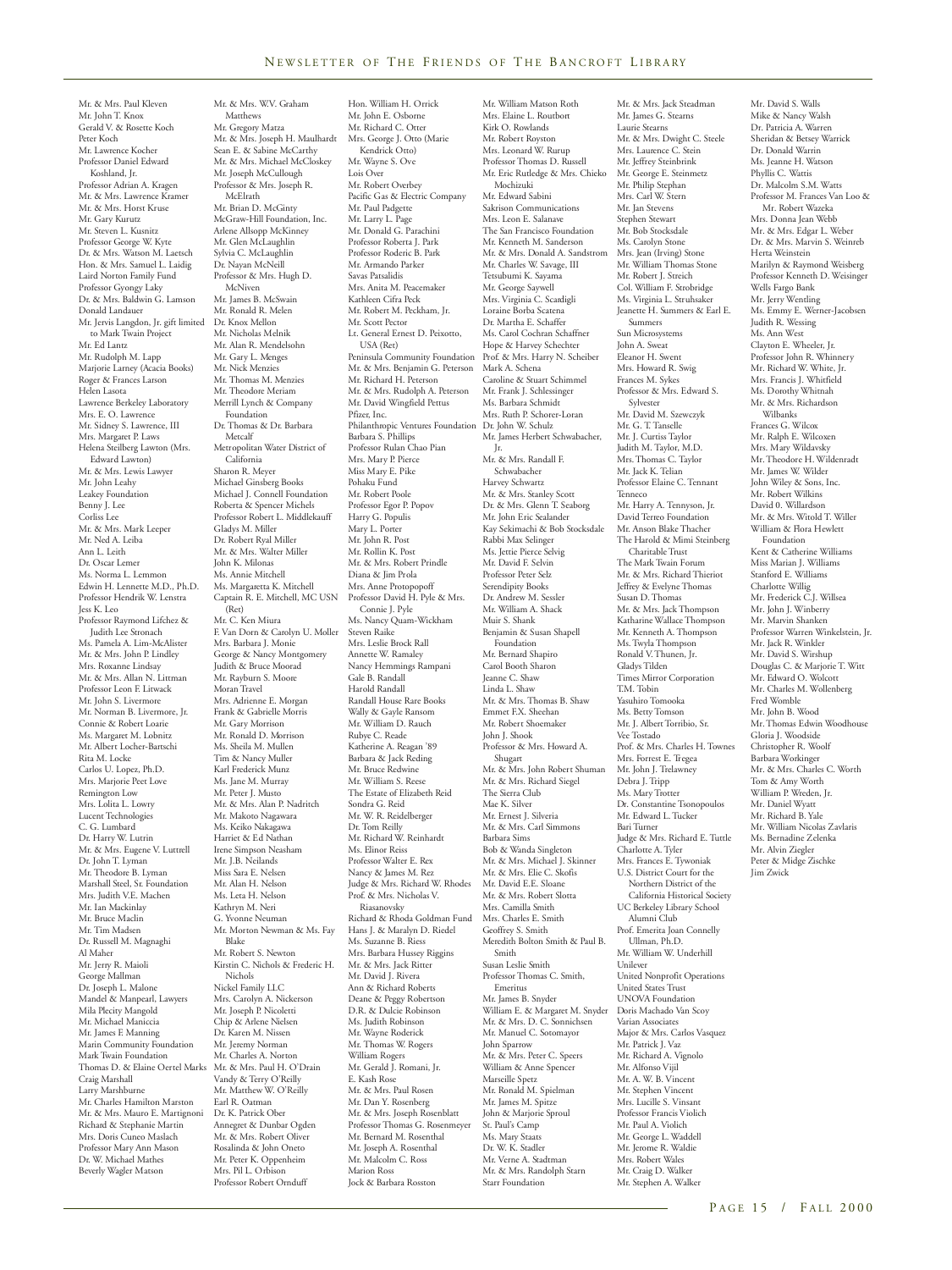Mr. William Matson Roth

Hon. William H. Orrick

Mr. & Mrs. Paul Kleven Mr. John T. Knox Gerald V. & Rosette Koch Peter Koch Mr. Lawrence Kocher Professor Daniel Edward Koshland, Jr. Professor Adrian A. Kragen Mr. & Mrs. Lawrence Kramer Mr. & Mrs. Horst Kruse Mr. Gary Kurutz Mr. Steven L. Kusnitz Professor George W. Kyte Dr. & Mrs. Watson M. Laetsch Hon. & Mrs. Samuel L. Laidig Laird Norton Family Fund Professor Gyongy Laky Dr. & Mrs. Baldwin G. Lamson Donald Landauer Mr. Jervis Langdon, Jr. gift limited to Mark Twain Project<br>Mr. Ed Lantz Mr. Ed Lantz Mr. Rudolph M. Lapp Marjorie Larney (Acacia Books) Roger & Frances Larson Helen Lasota Lawrence Berkeley Laboratory Mrs. E. O. Lawrence Mr. Sidney S. Lawrence, III Mrs. Margaret P. Laws Helena Steilberg Lawton (Mrs. Edward Lawton) Mr. & Mrs. Lewis Lawyer Mr. John Leahy Leakey Foundation Benny J. Lee Corliss Lee Mr. & Mrs. Mark Leeper Mr. Ned A. Leiba Ann L. Leith Dr. Oscar Lemer Ms. Norma L. Lemmon Edwin H. Lennette M.D., Ph.D. Professor Hendrik W. Lenstra Jess K. Leo Professor Raymond Lifchez & Judith Lee Stronach Ms. Pamela A. Lim-McAlister Mr. & Mrs. John P. Lindley Mrs. Roxanne Lindsay Mr. & Mrs. Allan N. Littman Professor Leon F. Litwack Mr. John S. Livermore Mr. Norman B. Livermore, Jr. Connie & Robert Loarie Ms. Margaret M. Lobnitz Mr. Albert Locher-Bartschi Rita M. Locke Carlos U. Lopez, Ph.D. Mrs. Marjorie Peet Love Remington Low Mrs. Lolita L. Lowry Lucent Technologies C. G. Lumbard Dr. Harry W. Lutrin Mr. & Mrs. Eugene V. Luttrell Dr. John T. Lyman Mr. Theodore B. Lyman Marshall Steel, Sr. Foundation Mrs. Judith V.E. Machen Mr. Ian Mackinlay Mr. Bruce Maclin Mr. Tim Madsen Dr. Russell M. Magnaghi Al Maher Mr. Jerry R. Maioli George Mallman Dr. Joseph L. Malone Mandel & Manpearl, Lawyers Mila Plecity Mangold Mr. Michael Maniccia Mr. James F. Manning Marin Community Foundation Mark Twain Foundation Thomas D. & Elaine Oertel Marks Craig Marshall Larry Marshburne Mr. Charles Hamilton Marston Mr. & Mrs. Mauro E. Martignoni Richard & Stephanie Martin Mrs. Doris Cuneo Maslach Professor Mary Ann Mason Dr. W. Michael Mathes

Beverly Wagler Matson

Mr. & Mrs. W.V. Graham Matthews Mr. Gregory Matza Mr. & Mrs. Joseph H. Maulhardt Sean E. & Sabine McCarthy Mr. & Mrs. Michael McCloskey Mr. Joseph McCullough Professor & Mrs. Joseph R. McElrath Mr. Brian D. McGinty McGraw-Hill Foundation, Inc. Arlene Allsopp McKinney Mr. Glen McLaughlin Sylvia C. McLaughlin Dr. Nayan McNeill Professor & Mrs. Hugh D. McNiven Mr. James B. McSwain Mr. Ronald R. Melen Dr. Knox Mellon Mr. Nicholas Melnik Mr. Alan R. Mendelsohn Mr. Gary L. Menges Mr. Nick Menzies Mr. Thomas M. Menzies Mr. Theodore Meriam Merrill Lynch & Company Foundation Dr. Thomas & Dr. Barbara Metcalf Metropolitan Water District of California Sharon R. Meyer Michael Ginsberg Books Michael J. Connell Foundation Roberta & Spencer Michels Professor Robert L. Middlekauff Gladys M. Miller Dr. Robert Ryal Miller Mr. & Mrs. Walter Miller John K. Milonas Ms. Annie Mitchell Ms. Margaretta K. Mitchell Captain R. E. Mitchell, MC USN (Ret) Mr. C. Ken Miura F. Van Dorn & Carolyn U. Moller Mrs. Barbara J. Monie George & Nancy Montgomery Judith & Bruce Moorad Mr. Rayburn S. Moore Moran Travel Mrs. Adrienne E. Morgan Frank & Gabrielle Morris Mr. Gary Morrison Mr. Ronald D. Morrison Ms. Sheila M. Mullen Tim & Nancy Muller Karl Frederick Munz Ms. Jane M. Murray Mr. Peter J. Musto Mr. & Mrs. Alan P. Nadritch Mr. Makoto Nagawara Ms. Keiko Nakagawa Harriet & Ed Nathan Irene Simpson Neasham Mr. J.B. Neilands Miss Sara E. Nelsen Mr. Alan H. Nelson Ms. Leta H. Nelson Kathryn M. Neri G. Yvonne Neuman Mr. Morton Newman & Ms. Fay Blake Mr. Robert S. Newton Kirstin C. Nichols & Frederic H. Nichols Nickel Family LLC Mrs. Carolyn A. Nickerson Mr. Joseph P. Nicoletti Chip & Arlene Nielsen Dr. Karen M. Nissen Mr. Jeremy Norman Mr. Charles A. Norton Mr. & Mrs. Paul H. O'Drain Vandy & Terry O'Reilly Mr. Matthew W. O'Reilly Earl R. Oatman Dr. K. Patrick Ober Annegret & Dunbar Ogden<br>Mr. & Mrs. Robert Oliver Mr. & Mrs. Robert Oliver Rosalinda & John Oneto Mr. Peter K. Oppenheim Mrs. Pil L. Orbison Professor Robert Ornduff

Mr. John E. Osborne Mr. Richard C. Otter Mrs. George J. Otto (Marie Kendrick Otto) Mr. Wayne S. Ove Lois Over Mr. Robert Overbey Pacific Gas & Electric Company Mr. Paul Padgette Mr. Larry L. Page Mr. Donald G. Parachini Professor Roberta J. Park Professor Roderic B. Park Mr. Armando Parker Savas Patsalidis Mrs. Anita M. Peacemaker Kathleen Cifra Peck Mr. Robert M. Peckham, Jr. Mr. Scott Pector Lt. General Ernest D. Peixotto, USA (Ret) Peninsula Community Foundation Mr. & Mrs. Benjamin G. Peterson Mr. Richard H. Peterson Mr. & Mrs. Rudolph A. Peterson Mr. David Wingfield Pettus Pfizer, Inc. Philanthropic Ventures Foundation Barbara S. Phillips Professor Rulan Chao Pian Mrs. Mary P. Pierce Miss Mary E. Pike Pohaku Fund Mr. Robert Poole Professor Egor P. Popov Harry G. Populis Mary L. Porter Mr. John R. Post Mr. Rollin K. Post Mr. & Mrs. Robert Prindle Diana & Jim Prola Mrs. Anne Protopopoff Professor David H. Pyle & Mrs. Connie J. Pyle Ms. Nancy Quam-Wickham Steven Raike Mrs. Leslie Brock Rall Annette W. Ramaley Nancy Hemmings Rampani Gale B. Randall Harold Randall Randall House Rare Books Wally & Gayle Ransom Mr. William D. Rauch Rubye C. Reade Katherine A. Reagan '89 Barbara & Jack Reding Mr. Bruce Redwine Mr. William S. Reese The Estate of Elizabeth Reid Sondra G. Reid Mr. W. R. Reidelberger Dr. Tom Reilly Mr. Richard W. Reinhardt Ms. Elinor Reiss Professor Walter E. Rex Nancy & James M. Rez Judge & Mrs. Richard W. Rhodes Prof. & Mrs. Nicholas V. Riasanovsky Richard & Rhoda Goldman Fund Hans J. & Maralyn D. Riedel Ms. Suzanne B. Riess Mrs. Barbara Hussey Riggins Mr. & Mrs. Jack Ritter Mr. David J. Rivera Ann & Richard Roberts Deane & Peggy Robertson D.R. & Dulcie Robinson Ms. Judith Robinson Mr. Wayne Roderick Mr. Thomas W. Rogers William Rogers Mr. Gerald J. Romani, Jr. E. Kash Rose Mr. & Mrs. Paul Rosen Mr. Dan Y. Rosenberg Mr. & Mrs. Joseph Rosenblatt Professor Thomas G. Rosenmeyer Mr. Bernard M. Rosenthal Mr. Joseph A. Rosenthal Mr. Malcolm C. Ross Marion Ross Jock & Barbara Rosston

Mrs. Elaine L. Routbort Kirk O. Rowlands Mr. Robert Royston Mrs. Leonard W. Rurup Professor Thomas D. Russell Mr. Eric Rutledge & Mrs. Chieko Mochizuki Mr. Edward Sabini Sakrison Communications Mrs. Leon E. Salanave The San Francisco Foundation Mr. Kenneth M. Sanderson Mr. & Mrs. Donald A. Sandstrom Mr. Charles W. Savage, III Tetsubumi K. Sayama Mr. George Saywell Mrs. Virginia C. Scardigli Loraine Borba Scatena Dr. Martha E. Schaffer Ms. Carol Cochran Schaffner Hope & Harvey Schechter Prof. & Mrs. Harry N. Scheiber Mark A. Schena Caroline & Stuart Schimmel Mr. Frank J. Schlessinger Ms. Barbara Schmidt Mrs. Ruth P. Schorer-Loran Dr. John W. Schulz Mr. James Herbert Schwabacher, Jr. Mr. & Mrs. Randall F. Schwabacher Harvey Schwartz Mr. & Mrs. Stanley Scott Dr. & Mrs. Glenn T. Seaborg Mr. John Eric Sealander Kay Sekimachi & Bob Stocksdale Rabbi Max Selinger Ms. Jettie Pierce Selvig Mr. David F. Selvin Professor Peter Selz Serendipity Books Dr. Andrew M. Sessler Mr. William A. Shack Muir S. Shank Benjamin & Susan Shapell Foundation Mr. Bernard Shapiro Carol Booth Sharon Jeanne C. Shaw Linda L. Shaw Mr. & Mrs. Thomas B. Shaw Emmet F.X. Sheehan Mr. Robert Shoemaker John J. Shook Professor & Mrs. Howard A. Shugart Mr. & Mrs. John Robert Shuman Mr. & Mrs. Richard Siegel The Sierra Club Mae K. Silver Mr. Ernest J. Silveria Mr. & Mrs. Carl Simmons Barbara Sims Bob & Wanda Singleton Mr. & Mrs. Michael J. Skinner Mr. & Mrs. Elie C. Skofis Mr. David E.E. Sloane Mr. & Mrs. Robert Slotta Mrs. Camilla Smith Mrs. Charles E. Smith Geoffrey S. Smith Meredith Bolton Smith & Paul B. Smith Susan Leslie Smith Professor Thomas C. Smith, Emeritus Mr. James B. Snyder William E. & Margaret M. Snyder Mr. & Mrs. D. C. Sonnichsen Mr. Manuel C. Sotomayor John Sparrow Mr. & Mrs. Peter C. Speers William & Anne Spencer Marseille Spetz Mr. Ronald M. Spielman Mr. James M. Spitze John & Marjorie Sproul St. Paul's Camp<br>Ms. Mary Staats Ms. Mary Staats Dr. W. K. Stadler Mr. Verne A. Stadtman Mr. & Mrs. Randolph Starn Starr Foundation

Mr. & Mrs. Jack Steadman Mr. James G. Stearns Laurie Stearns Mr. & Mrs. Dwight C. Steele Mrs. Laurence C. Stein Mr. Jeffrey Steinbrink Mr. George E. Steinmetz Mr. Philip Stephan Mrs. Carl W. Stern Mr. Jan Stevens Stephen Stewart Mr. Bob Stocksdale Ms. Carolyn Stone Mrs. Jean (Irving) Stone Mr. William Thomas Stone Mr. William Thomas Col. William F. Strobridge Ms. Virginia L. Struhsaker Jeanette H. Summers & Earl E. Summers Sun Microsystems John A. Sweat Eleanor H. Swent Mrs. Howard R. Swig Frances M. Sykes Professor & Mrs. Edward S. Sylvester Mr. David M. Szewczyk Mr. G. T. Tanselle Mr. J. Curtiss Taylor Judith M. Taylor, M.D. Mrs. Thomas C. Taylor Mr. Jack K. Telian Professor Elaine C. Tennant Tenneco Mr. Harry A. Tennyson, Jr. David Terreo Foundation Mr. Anson Blake Thacher The Harold & Mimi Steinberg Charitable Trust The Mark Twain Forum Mr. & Mrs. Richard Thieriot Jeffrey & Evelyne Thomas Susan D. Thomas Mr. & Mrs. Jack Thompson Katharine Wallace Thompson Mr. Kenneth A. Thompson Ms. Twyla Thompson Ronald V. Thunen, Jr. Gladys Tilden Times Mirror Corporation TM Tobin Yasuhiro Tomooka Ms. Betty Tomson Mr. J. Albert Torribio, Sr. Vee Tostado Prof. & Mrs. Charles H. Townes Mrs. Forrest E. Tregea Mr. John J. Trelawney Debra J. Tripp Ms. Mary Trotter Dr. Constantine Tsonopoulos Mr. Edward L. Tucker Bari Turner Judge & Mrs. Richard E. Tuttle Charlotte A. Tyler Mrs. Frances E. Tywoniak U.S. District Court for the Northern District of the California Historical Society UC Berkeley Library School Alumni Club Prof. Emerita Joan Connelly Ullman, Ph.D. Mr. William W. Underhill Unilever United Nonprofit Operations United States Trust UNOVA Foundation Doris Machado Van Scoy Varian Associates Major & Mrs. Carlos Vasquez Mr. Patrick J. Vaz Mr. Richard A. Vignolo Mr. Alfonso Vijil Mr. A. W. B. Vincent Mr. Stephen Vincent Mrs. Lucille S. Vinsant Professor Francis Violich Mr. Paul A. Violich Mr. George L. Waddell Mr. Jerome R. Waldie Mrs. Robert Wales Mr. Craig D. Walker Mr. Stephen A. Walker

Mr. David S. Walls Mike & Nancy Walsh Dr. Patricia A. Warren Sheridan & Betsey Warrick Dr. Donald Warrin Ms. Jeanne H. Watson Phyllis C. Wattis Dr. Malcolm S.M. Watts Professor M. Frances Van Loo & Mr. Robert Wazeka Mrs. Donna Jean Webb Mr. & Mrs. Edgar L. Weber Dr. & Mrs. Marvin S. Weinreb Herta Weinstein Marilyn & Raymond Weisberg Professor Kenneth D. Weisinger Wells Fargo Bank Mr. Jerry Wentling Ms. Emmy E. Werner-Jacobsen Judith R. Wessing Ms. Ann West Clayton E. Wheeler, Ir. Professor John R. Whinnery Mr. Richard W. White, Jr. Mrs. Francis J. Whitfield Ms. Dorothy Whitnah Mr. & Mrs. Richardson Wilbanks Frances G. Wilcox Mr. Ralph E. Wilcoxen Mrs. Mary Wildavsky Mr. Theodore H. Wildenradt Mr. James W. Wilder John Wiley & Sons, Inc. Mr. Robert Wilkins David 0. Willardson Mr. & Mrs. Witold T. Willer William & Flora Hewlett Foundation Kent & Catherine Williams Miss Marian J. Williams Stanford E. Williams Charlotte Willig Mr. Frederick C.J. Willsea Mr. John J. Winberry Mr. Marvin Shanken Professor Warren Winkelstein, Jr. Mr. Jack R. Winkler Mr. David S. Wirshup Douglas C. & Marjorie T. Witt Mr. Edward O. Wolcott Mr. Charles M. Wollenberg Fred Womble Mr. John B. Wood Mr. Thomas Edwin Woodhouse Gloria J. Woodside Christopher R. Woolf Barbara Workinger Mr. & Mrs. Charles C. Worth Tom & Amy Worth William P. Wreden, Jr. Mr. Daniel Wyatt Mr. Richard B. Yale Mr. William Nicolas Zavlaris Ms. Bernadine Zelenka Mr. Alvin Ziegler Peter & Midge Zischke Jim Zwick